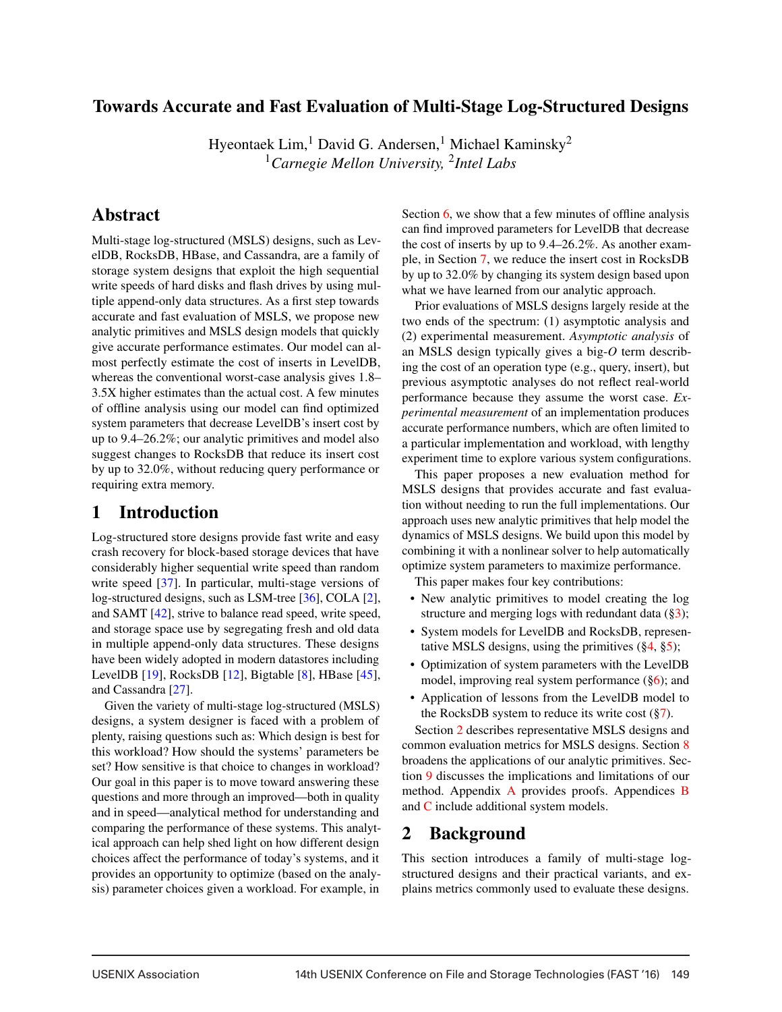## Towards Accurate and Fast Evaluation of Multi-Stage Log-Structured Designs

Hyeontaek Lim,<sup>1</sup> David G. Andersen,<sup>1</sup> Michael Kaminsky<sup>2</sup> <sup>1</sup>*Carnegie Mellon University,* <sup>2</sup>*Intel Labs*

## Abstract

Multi-stage log-structured (MSLS) designs, such as LevelDB, RocksDB, HBase, and Cassandra, are a family of storage system designs that exploit the high sequential write speeds of hard disks and flash drives by using multiple append-only data structures. As a first step towards accurate and fast evaluation of MSLS, we propose new analytic primitives and MSLS design models that quickly give accurate performance estimates. Our model can almost perfectly estimate the cost of inserts in LevelDB, whereas the conventional worst-case analysis gives 1.8– 3.5X higher estimates than the actual cost. A few minutes of offline analysis using our model can find optimized system parameters that decrease LevelDB's insert cost by up to 9.4–26.2%; our analytic primitives and model also suggest changes to RocksDB that reduce its insert cost by up to 32.0%, without reducing query performance or requiring extra memory.

## 1 Introduction

Log-structured store designs provide fast write and easy crash recovery for block-based storage devices that have considerably higher sequential write speed than random write speed [37]. In particular, multi-stage versions of log-structured designs, such as LSM-tree [36], COLA [2], and SAMT [42], strive to balance read speed, write speed, and storage space use by segregating fresh and old data in multiple append-only data structures. These designs have been widely adopted in modern datastores including LevelDB [19], RocksDB [12], Bigtable [8], HBase [45], and Cassandra [27].

Given the variety of multi-stage log-structured (MSLS) designs, a system designer is faced with a problem of plenty, raising questions such as: Which design is best for this workload? How should the systems' parameters be set? How sensitive is that choice to changes in workload? Our goal in this paper is to move toward answering these questions and more through an improved—both in quality and in speed—analytical method for understanding and comparing the performance of these systems. This analytical approach can help shed light on how different design choices affect the performance of today's systems, and it provides an opportunity to optimize (based on the analysis) parameter choices given a workload. For example, in

Section 6, we show that a few minutes of offline analysis can find improved parameters for LevelDB that decrease the cost of inserts by up to 9.4–26.2%. As another example, in Section 7, we reduce the insert cost in RocksDB by up to 32.0% by changing its system design based upon what we have learned from our analytic approach.

Prior evaluations of MSLS designs largely reside at the two ends of the spectrum: (1) asymptotic analysis and (2) experimental measurement. *Asymptotic analysis* of an MSLS design typically gives a big-*O* term describing the cost of an operation type (e.g., query, insert), but previous asymptotic analyses do not reflect real-world performance because they assume the worst case. *Experimental measurement* of an implementation produces accurate performance numbers, which are often limited to a particular implementation and workload, with lengthy experiment time to explore various system configurations.

This paper proposes a new evaluation method for MSLS designs that provides accurate and fast evaluation without needing to run the full implementations. Our approach uses new analytic primitives that help model the dynamics of MSLS designs. We build upon this model by combining it with a nonlinear solver to help automatically optimize system parameters to maximize performance.

This paper makes four key contributions:

- New analytic primitives to model creating the log structure and merging logs with redundant data  $(\frac{83}{3})$ ;
- System models for LevelDB and RocksDB, representative MSLS designs, using the primitives  $(\frac{6}{4}, \frac{6}{5})$ ;
- Optimization of system parameters with the LevelDB model, improving real system performance  $(\S6)$ ; and
- Application of lessons from the LevelDB model to the RocksDB system to reduce its write cost  $(\frac{8}{7})$ .

Section 2 describes representative MSLS designs and common evaluation metrics for MSLS designs. Section 8 broadens the applications of our analytic primitives. Section 9 discusses the implications and limitations of our method. Appendix A provides proofs. Appendices B and C include additional system models.

## 2 Background

This section introduces a family of multi-stage logstructured designs and their practical variants, and explains metrics commonly used to evaluate these designs.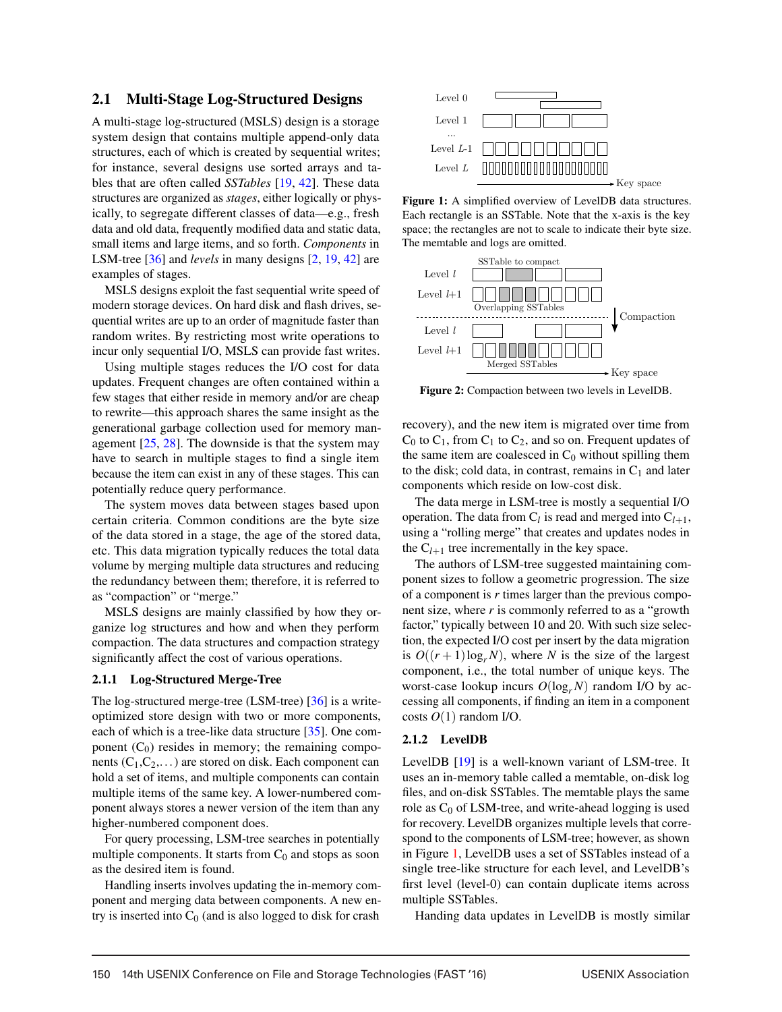#### 2.1 Multi-Stage Log-Structured Designs

A multi-stage log-structured (MSLS) design is a storage system design that contains multiple append-only data structures, each of which is created by sequential writes; for instance, several designs use sorted arrays and tables that are often called *SSTables* [19, 42]. These data structures are organized as *stages*, either logically or physically, to segregate different classes of data—e.g., fresh data and old data, frequently modified data and static data, small items and large items, and so forth. *Components* in LSM-tree [36] and *levels* in many designs [2, 19, 42] are examples of stages.

MSLS designs exploit the fast sequential write speed of modern storage devices. On hard disk and flash drives, sequential writes are up to an order of magnitude faster than random writes. By restricting most write operations to incur only sequential I/O, MSLS can provide fast writes.

Using multiple stages reduces the I/O cost for data updates. Frequent changes are often contained within a few stages that either reside in memory and/or are cheap to rewrite—this approach shares the same insight as the generational garbage collection used for memory management [25, 28]. The downside is that the system may have to search in multiple stages to find a single item because the item can exist in any of these stages. This can potentially reduce query performance.

The system moves data between stages based upon certain criteria. Common conditions are the byte size of the data stored in a stage, the age of the stored data, etc. This data migration typically reduces the total data volume by merging multiple data structures and reducing the redundancy between them; therefore, it is referred to as "compaction" or "merge."

MSLS designs are mainly classified by how they organize log structures and how and when they perform compaction. The data structures and compaction strategy significantly affect the cost of various operations.

#### 2.1.1 Log-Structured Merge-Tree

The log-structured merge-tree (LSM-tree) [36] is a writeoptimized store design with two or more components, each of which is a tree-like data structure [35]. One component  $(C_0)$  resides in memory; the remaining components  $(C_1, C_2,...)$  are stored on disk. Each component can hold a set of items, and multiple components can contain multiple items of the same key. A lower-numbered component always stores a newer version of the item than any higher-numbered component does.

For query processing, LSM-tree searches in potentially multiple components. It starts from  $C_0$  and stops as soon as the desired item is found.

Handling inserts involves updating the in-memory component and merging data between components. A new entry is inserted into  $C_0$  (and is also logged to disk for crash



Figure 1: A simplified overview of LevelDB data structures. Each rectangle is an SSTable. Note that the x-axis is the key space; the rectangles are not to scale to indicate their byte size. The memtable and logs are omitted.



Figure 2: Compaction between two levels in LevelDB.

recovery), and the new item is migrated over time from  $C_0$  to  $C_1$ , from  $C_1$  to  $C_2$ , and so on. Frequent updates of the same item are coalesced in  $C_0$  without spilling them to the disk; cold data, in contrast, remains in  $C_1$  and later components which reside on low-cost disk.

The data merge in LSM-tree is mostly a sequential I/O operation. The data from  $C_l$  is read and merged into  $C_{l+1}$ , using a "rolling merge" that creates and updates nodes in the  $C_{l+1}$  tree incrementally in the key space.

The authors of LSM-tree suggested maintaining component sizes to follow a geometric progression. The size of a component is *r* times larger than the previous component size, where *r* is commonly referred to as a "growth factor," typically between 10 and 20. With such size selection, the expected I/O cost per insert by the data migration is  $O((r+1)\log_r N)$ , where *N* is the size of the largest component, i.e., the total number of unique keys. The worst-case lookup incurs  $O(\log_r N)$  random I/O by accessing all components, if finding an item in a component costs  $O(1)$  random I/O.

#### 2.1.2 LevelDB

LevelDB [19] is a well-known variant of LSM-tree. It uses an in-memory table called a memtable, on-disk log files, and on-disk SSTables. The memtable plays the same role as  $C_0$  of LSM-tree, and write-ahead logging is used for recovery. LevelDB organizes multiple levels that correspond to the components of LSM-tree; however, as shown in Figure 1, LevelDB uses a set of SSTables instead of a single tree-like structure for each level, and LevelDB's first level (level-0) can contain duplicate items across multiple SSTables.

Handing data updates in LevelDB is mostly similar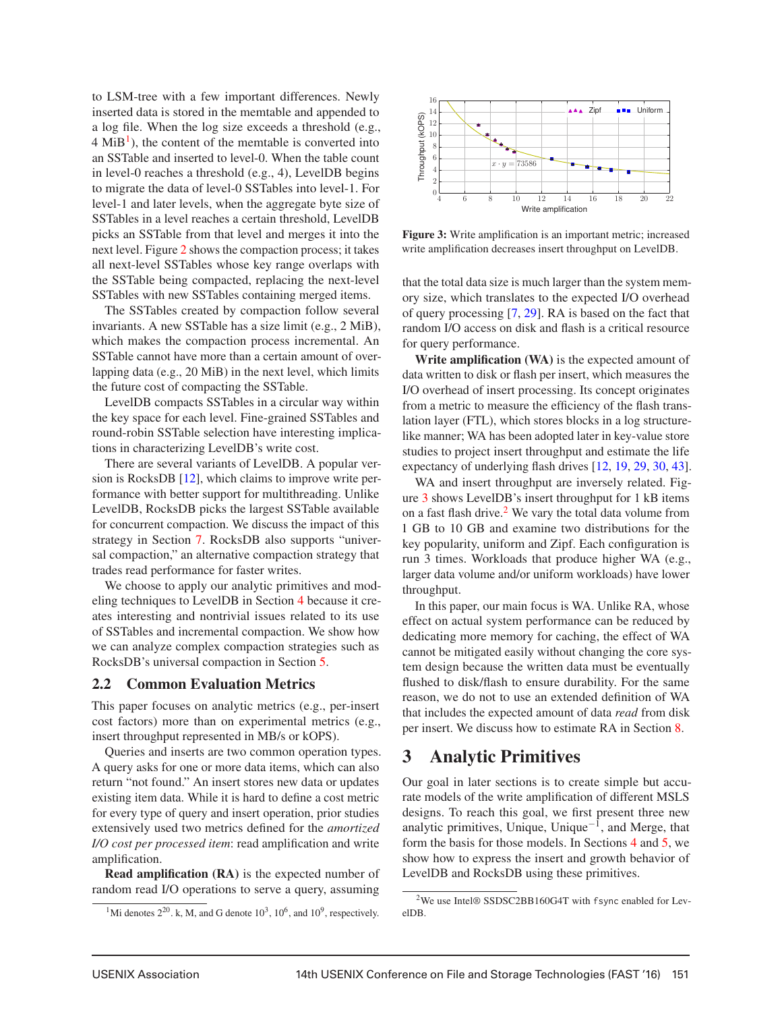to LSM-tree with a few important differences. Newly inserted data is stored in the memtable and appended to a log file. When the log size exceeds a threshold (e.g.,  $4 \text{ Mi} \text{B}^1$ ), the content of the memtable is converted into an SSTable and inserted to level-0. When the table count in level-0 reaches a threshold (e.g., 4), LevelDB begins to migrate the data of level-0 SSTables into level-1. For level-1 and later levels, when the aggregate byte size of SSTables in a level reaches a certain threshold, LevelDB picks an SSTable from that level and merges it into the next level. Figure 2 shows the compaction process; it takes all next-level SSTables whose key range overlaps with the SSTable being compacted, replacing the next-level SSTables with new SSTables containing merged items.

The SSTables created by compaction follow several invariants. A new SSTable has a size limit (e.g., 2 MiB), which makes the compaction process incremental. An SSTable cannot have more than a certain amount of overlapping data (e.g., 20 MiB) in the next level, which limits the future cost of compacting the SSTable.

LevelDB compacts SSTables in a circular way within the key space for each level. Fine-grained SSTables and round-robin SSTable selection have interesting implications in characterizing LevelDB's write cost.

There are several variants of LevelDB. A popular version is RocksDB [12], which claims to improve write performance with better support for multithreading. Unlike LevelDB, RocksDB picks the largest SSTable available for concurrent compaction. We discuss the impact of this strategy in Section 7. RocksDB also supports "universal compaction," an alternative compaction strategy that trades read performance for faster writes.

We choose to apply our analytic primitives and modeling techniques to LevelDB in Section 4 because it creates interesting and nontrivial issues related to its use of SSTables and incremental compaction. We show how we can analyze complex compaction strategies such as RocksDB's universal compaction in Section 5.

#### 2.2 Common Evaluation Metrics

This paper focuses on analytic metrics (e.g., per-insert cost factors) more than on experimental metrics (e.g., insert throughput represented in MB/s or kOPS).

Queries and inserts are two common operation types. A query asks for one or more data items, which can also return "not found." An insert stores new data or updates existing item data. While it is hard to define a cost metric for every type of query and insert operation, prior studies extensively used two metrics defined for the *amortized I/O cost per processed item*: read amplification and write amplification.

Read amplification (RA) is the expected number of random read I/O operations to serve a query, assuming



Figure 3: Write amplification is an important metric; increased write amplification decreases insert throughput on LevelDB.

that the total data size is much larger than the system memory size, which translates to the expected I/O overhead of query processing [7, 29]. RA is based on the fact that random I/O access on disk and flash is a critical resource for query performance.

Write amplification (WA) is the expected amount of data written to disk or flash per insert, which measures the I/O overhead of insert processing. Its concept originates from a metric to measure the efficiency of the flash translation layer (FTL), which stores blocks in a log structurelike manner; WA has been adopted later in key-value store studies to project insert throughput and estimate the life expectancy of underlying flash drives [12, 19, 29, 30, 43].

WA and insert throughput are inversely related. Figure 3 shows LevelDB's insert throughput for 1 kB items on a fast flash drive. $2$  We vary the total data volume from 1 GB to 10 GB and examine two distributions for the key popularity, uniform and Zipf. Each configuration is run 3 times. Workloads that produce higher WA (e.g., larger data volume and/or uniform workloads) have lower throughput.

In this paper, our main focus is WA. Unlike RA, whose effect on actual system performance can be reduced by dedicating more memory for caching, the effect of WA cannot be mitigated easily without changing the core system design because the written data must be eventually flushed to disk/flash to ensure durability. For the same reason, we do not to use an extended definition of WA that includes the expected amount of data *read* from disk per insert. We discuss how to estimate RA in Section 8.

### 3 Analytic Primitives

Our goal in later sections is to create simple but accurate models of the write amplification of different MSLS designs. To reach this goal, we first present three new analytic primitives, Unique, Unique−1, and Merge, that form the basis for those models. In Sections 4 and 5, we show how to express the insert and growth behavior of LevelDB and RocksDB using these primitives.

<sup>&</sup>lt;sup>1</sup>Mi denotes  $2^{20}$ . k, M, and G denote  $10^3$ ,  $10^6$ , and  $10^9$ , respectively.

<sup>2</sup>We use Intel® SSDSC2BB160G4T with fsync enabled for LevelDB.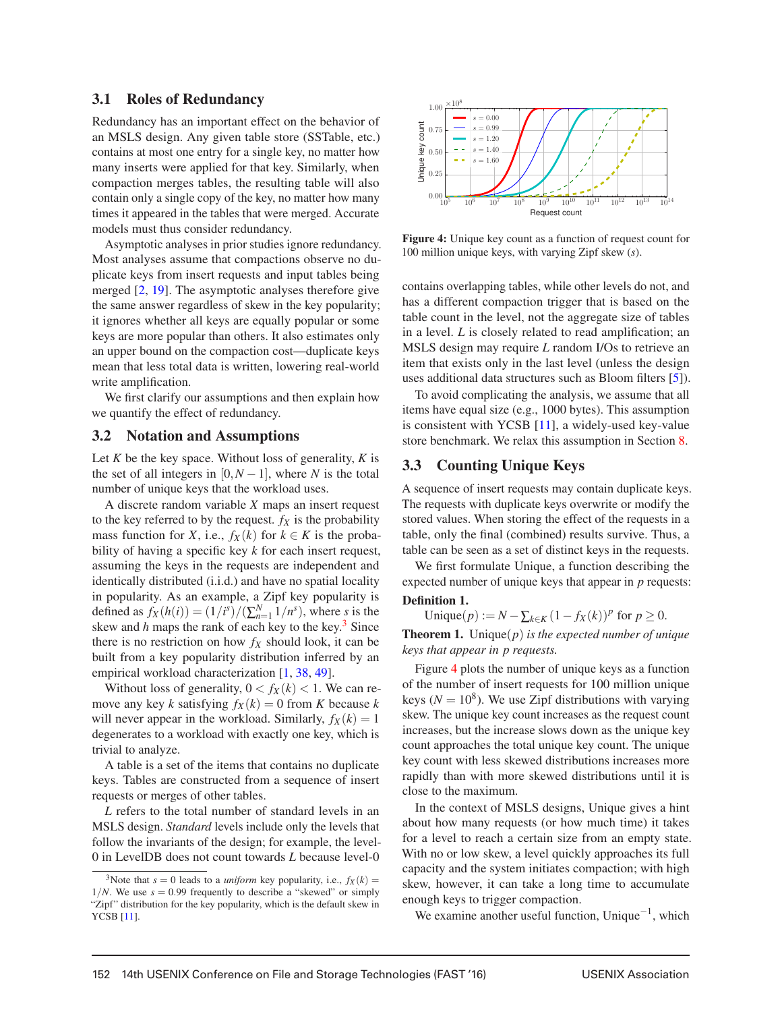#### 3.1 Roles of Redundancy

Redundancy has an important effect on the behavior of an MSLS design. Any given table store (SSTable, etc.) contains at most one entry for a single key, no matter how many inserts were applied for that key. Similarly, when compaction merges tables, the resulting table will also contain only a single copy of the key, no matter how many times it appeared in the tables that were merged. Accurate models must thus consider redundancy.

Asymptotic analyses in prior studies ignore redundancy. Most analyses assume that compactions observe no duplicate keys from insert requests and input tables being merged [2, 19]. The asymptotic analyses therefore give the same answer regardless of skew in the key popularity; it ignores whether all keys are equally popular or some keys are more popular than others. It also estimates only an upper bound on the compaction cost—duplicate keys mean that less total data is written, lowering real-world write amplification.

We first clarify our assumptions and then explain how we quantify the effect of redundancy.

#### 3.2 Notation and Assumptions

Let *K* be the key space. Without loss of generality, *K* is the set of all integers in  $[0, N-1]$ , where *N* is the total number of unique keys that the workload uses.

A discrete random variable *X* maps an insert request to the key referred to by the request.  $f_X$  is the probability mass function for *X*, i.e.,  $f_X(k)$  for  $k \in K$  is the probability of having a specific key *k* for each insert request, assuming the keys in the requests are independent and identically distributed (i.i.d.) and have no spatial locality in popularity. As an example, a Zipf key popularity is defined as  $f_X(h(i)) = (1/i^s) / (\sum_{n=1}^{N} 1/n^s)$ , where *s* is the skew and  $h$  maps the rank of each key to the key.<sup>3</sup> Since there is no restriction on how  $f_X$  should look, it can be built from a key popularity distribution inferred by an empirical workload characterization [1, 38, 49].

Without loss of generality,  $0 < f_X(k) < 1$ . We can remove any key *k* satisfying  $f_X(k) = 0$  from *K* because *k* will never appear in the workload. Similarly,  $f_X(k) = 1$ degenerates to a workload with exactly one key, which is trivial to analyze.

A table is a set of the items that contains no duplicate keys. Tables are constructed from a sequence of insert requests or merges of other tables.

*L* refers to the total number of standard levels in an MSLS design. *Standard* levels include only the levels that follow the invariants of the design; for example, the level-0 in LevelDB does not count towards *L* because level-0



Figure 4: Unique key count as a function of request count for 100 million unique keys, with varying Zipf skew (*s*).

contains overlapping tables, while other levels do not, and has a different compaction trigger that is based on the table count in the level, not the aggregate size of tables in a level. *L* is closely related to read amplification; an MSLS design may require *L* random I/Os to retrieve an item that exists only in the last level (unless the design uses additional data structures such as Bloom filters [5]).

To avoid complicating the analysis, we assume that all items have equal size (e.g., 1000 bytes). This assumption is consistent with YCSB [11], a widely-used key-value store benchmark. We relax this assumption in Section 8.

### 3.3 Counting Unique Keys

A sequence of insert requests may contain duplicate keys. The requests with duplicate keys overwrite or modify the stored values. When storing the effect of the requests in a table, only the final (combined) results survive. Thus, a table can be seen as a set of distinct keys in the requests.

We first formulate Unique, a function describing the expected number of unique keys that appear in *p* requests:

### Definition 1.

Unique(*p*) := *N* −  $\sum_{k \in K} (1 - f_X(k))^p$  for  $p \ge 0$ .

Theorem 1. Unique(*p*) *is the expected number of unique keys that appear in p requests.*

Figure 4 plots the number of unique keys as a function of the number of insert requests for 100 million unique keys ( $N = 10<sup>8</sup>$ ). We use Zipf distributions with varying skew. The unique key count increases as the request count increases, but the increase slows down as the unique key count approaches the total unique key count. The unique key count with less skewed distributions increases more rapidly than with more skewed distributions until it is close to the maximum.

In the context of MSLS designs, Unique gives a hint about how many requests (or how much time) it takes for a level to reach a certain size from an empty state. With no or low skew, a level quickly approaches its full capacity and the system initiates compaction; with high skew, however, it can take a long time to accumulate enough keys to trigger compaction.

We examine another useful function, Unique<sup> $-1$ </sup>, which

<sup>&</sup>lt;sup>3</sup>Note that  $s = 0$  leads to a *uniform* key popularity, i.e.,  $f_X(k) =$  $1/N$ . We use  $s = 0.99$  frequently to describe a "skewed" or simply "Zipf" distribution for the key popularity, which is the default skew in YCSB [11].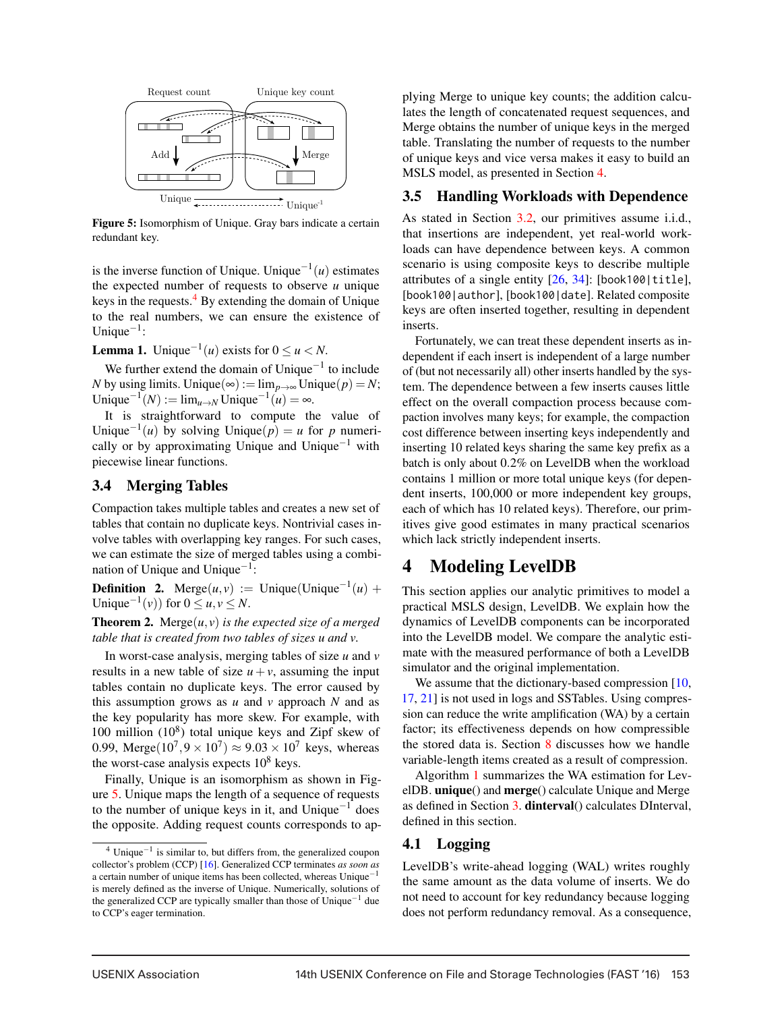

Figure 5: Isomorphism of Unique. Gray bars indicate a certain redundant key.

is the inverse function of Unique. Unique<sup> $-1(u)$ </sup> estimates the expected number of requests to observe *u* unique keys in the requests. $4$  By extending the domain of Unique to the real numbers, we can ensure the existence of Unique $^{-1}$ :

**Lemma 1.** Unique<sup> $-1(u)$ </sup> exists for  $0 \le u \le N$ .

We further extend the domain of Unique<sup> $-1$ </sup> to include *N* by using limits. Unique(∞):=  $\lim_{n\to\infty}$  Unique(*p*) = *N*; Unique<sup> $-1(N)$ </sup> := lim<sub>*u→N*</sub> Unique<sup> $-1(iu)$ </sup> = ∞.

It is straightforward to compute the value of Unique<sup> $-1(u)$ </sup> by solving Unique $(p) = u$  for *p* numerically or by approximating Unique and Unique<sup>-1</sup> with piecewise linear functions.

#### 3.4 Merging Tables

Compaction takes multiple tables and creates a new set of tables that contain no duplicate keys. Nontrivial cases involve tables with overlapping key ranges. For such cases, we can estimate the size of merged tables using a combination of Unique and Unique−1:

**Definition 2.** Merge $(u, v) :=$  Unique(Unique<sup>-1</sup> $(u)$  + Unique<sup> $-1$ </sup>(*v*)) for 0 ≤ *u*, *v* ≤ *N*.

**Theorem 2.** Merge $(u, v)$  *is the expected size of a merged table that is created from two tables of sizes u and v.*

In worst-case analysis, merging tables of size *u* and *v* results in a new table of size  $u + v$ , assuming the input tables contain no duplicate keys. The error caused by this assumption grows as  $u$  and  $v$  approach  $N$  and as the key popularity has more skew. For example, with 100 million  $(10^8)$  total unique keys and Zipf skew of 0.99, Merge $(10^7, 9 \times 10^7) \approx 9.03 \times 10^7$  keys, whereas the worst-case analysis expects  $10^8$  keys.

Finally, Unique is an isomorphism as shown in Figure 5. Unique maps the length of a sequence of requests to the number of unique keys in it, and Unique<sup> $-1$ </sup> does the opposite. Adding request counts corresponds to applying Merge to unique key counts; the addition calculates the length of concatenated request sequences, and Merge obtains the number of unique keys in the merged table. Translating the number of requests to the number of unique keys and vice versa makes it easy to build an MSLS model, as presented in Section 4.

### 3.5 Handling Workloads with Dependence

As stated in Section 3.2, our primitives assume i.i.d., that insertions are independent, yet real-world workloads can have dependence between keys. A common scenario is using composite keys to describe multiple attributes of a single entity  $[26, 34]$ : [book100|title], [book100|author], [book100|date]. Related composite keys are often inserted together, resulting in dependent inserts.

Fortunately, we can treat these dependent inserts as independent if each insert is independent of a large number of (but not necessarily all) other inserts handled by the system. The dependence between a few inserts causes little effect on the overall compaction process because compaction involves many keys; for example, the compaction cost difference between inserting keys independently and inserting 10 related keys sharing the same key prefix as a batch is only about 0.2% on LevelDB when the workload contains 1 million or more total unique keys (for dependent inserts, 100,000 or more independent key groups, each of which has 10 related keys). Therefore, our primitives give good estimates in many practical scenarios which lack strictly independent inserts.

## 4 Modeling LevelDB

This section applies our analytic primitives to model a practical MSLS design, LevelDB. We explain how the dynamics of LevelDB components can be incorporated into the LevelDB model. We compare the analytic estimate with the measured performance of both a LevelDB simulator and the original implementation.

We assume that the dictionary-based compression [10, 17, 21] is not used in logs and SSTables. Using compression can reduce the write amplification (WA) by a certain factor; its effectiveness depends on how compressible the stored data is. Section 8 discusses how we handle variable-length items created as a result of compression.

Algorithm 1 summarizes the WA estimation for LevelDB. unique() and merge() calculate Unique and Merge as defined in Section 3. dinterval() calculates DInterval, defined in this section.

### 4.1 Logging

LevelDB's write-ahead logging (WAL) writes roughly the same amount as the data volume of inserts. We do not need to account for key redundancy because logging does not perform redundancy removal. As a consequence,

 $4$  Unique<sup> $-1$ </sup> is similar to, but differs from, the generalized coupon collector's problem (CCP) [16]. Generalized CCP terminates *as soon as* a certain number of unique items has been collected, whereas Unique−<sup>1</sup> is merely defined as the inverse of Unique. Numerically, solutions of the generalized CCP are typically smaller than those of Unique−<sup>1</sup> due to CCP's eager termination.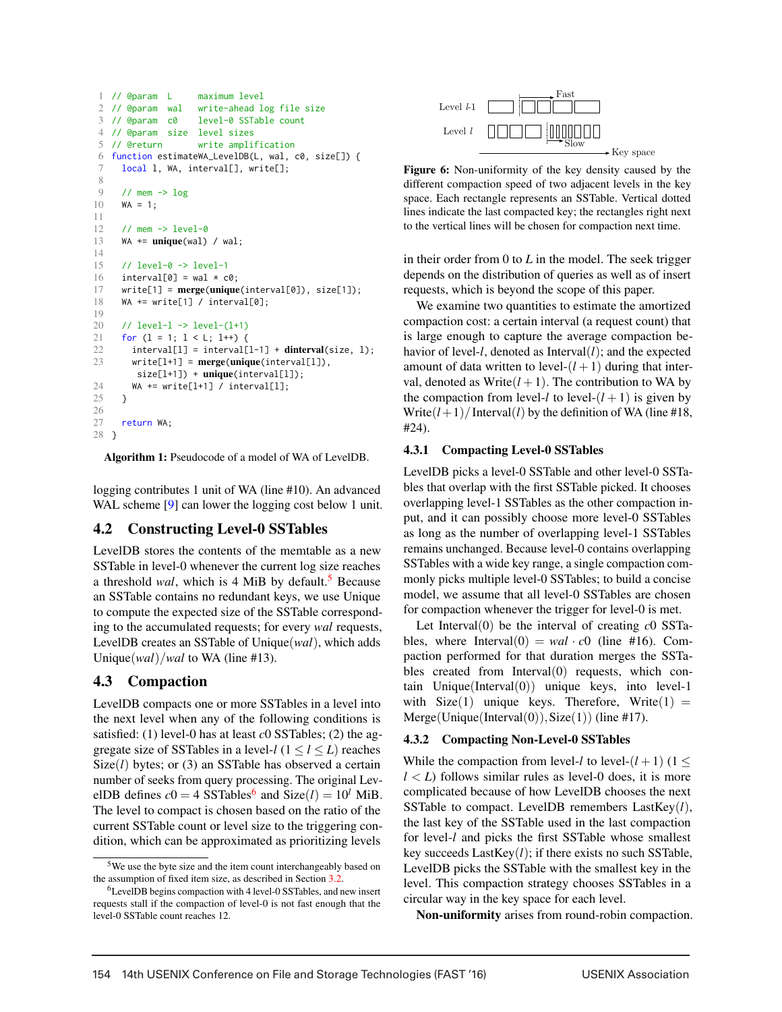```
1 // @param L maximum level
 2 // @param wal write-ahead log file size
3 // @param c0 level-0 SSTable count
4 // @param size level sizes
5 // @return write amplification
6 function estimateWA_LevelDB(L, wal, c0, size[]) {
     local 1, WA, interval[], write[];
8
9 // mem \rightarrow log
10 WA = 1;
11
12 // mem -> level-0
13 WA += unique(wal) / wal;
14
15 // level-0 -> level-1
16 interval[0] = wal \star c0:
17 write[1] = merge(unique(interval[0]), size[1]);
18 WA += write[1] / interval[0];
19
20 // level-l -> level-(l+1)
21 for (l = 1; l < L; l++) {
22 interval[1] = interval[1-1] + dinterval(size, 1);<br>23 write[1+1] = merge(unique(interval[11).
       write[1+1] = merge(unique(interval[1]),size[l+1]) + unique(interval[l]);
24 WA += write[l+1] / interval[l];
25 }
\frac{26}{27}return WA;
28 }
```
Algorithm 1: Pseudocode of a model of WA of LevelDB.

logging contributes 1 unit of WA (line #10). An advanced WAL scheme [9] can lower the logging cost below 1 unit.

### 4.2 Constructing Level-0 SSTables

LevelDB stores the contents of the memtable as a new SSTable in level-0 whenever the current log size reaches a threshold *wal*, which is 4 MiB by default.<sup>5</sup> Because an SSTable contains no redundant keys, we use Unique to compute the expected size of the SSTable corresponding to the accumulated requests; for every *wal* requests, LevelDB creates an SSTable of Unique(*wal*), which adds Unique(*wal*)/*wal* to WA (line #13).

### 4.3 Compaction

LevelDB compacts one or more SSTables in a level into the next level when any of the following conditions is satisfied: (1) level-0 has at least *c*0 SSTables; (2) the aggregate size of SSTables in a level- $l$  ( $1 \le l \le L$ ) reaches Size(*l*) bytes; or (3) an SSTable has observed a certain number of seeks from query processing. The original LevelDB defines  $c0 = 4$  SSTables<sup>6</sup> and Size(*l*) =  $10^l$  MiB. The level to compact is chosen based on the ratio of the current SSTable count or level size to the triggering condition, which can be approximated as prioritizing levels



Figure 6: Non-uniformity of the key density caused by the different compaction speed of two adjacent levels in the key space. Each rectangle represents an SSTable. Vertical dotted lines indicate the last compacted key; the rectangles right next to the vertical lines will be chosen for compaction next time.

in their order from 0 to *L* in the model. The seek trigger depends on the distribution of queries as well as of insert requests, which is beyond the scope of this paper.

We examine two quantities to estimate the amortized compaction cost: a certain interval (a request count) that is large enough to capture the average compaction behavior of level- $l$ , denoted as Interval $(l)$ ; and the expected amount of data written to level- $(l+1)$  during that interval, denoted as Write $(l + 1)$ . The contribution to WA by the compaction from level-*l* to level- $(l+1)$  is given by Write $(l+1)/$ Interval $(l)$  by the definition of WA (line #18, #24).

### 4.3.1 Compacting Level-0 SSTables

LevelDB picks a level-0 SSTable and other level-0 SSTables that overlap with the first SSTable picked. It chooses overlapping level-1 SSTables as the other compaction input, and it can possibly choose more level-0 SSTables as long as the number of overlapping level-1 SSTables remains unchanged. Because level-0 contains overlapping SSTables with a wide key range, a single compaction commonly picks multiple level-0 SSTables; to build a concise model, we assume that all level-0 SSTables are chosen for compaction whenever the trigger for level-0 is met.

Let Interval $(0)$  be the interval of creating  $c0$  SSTables, where Interval $(0) = \text{wal} \cdot \text{c0}$  (line #16). Compaction performed for that duration merges the SSTables created from Interval(0) requests, which contain Unique(Interval(0)) unique keys, into level-1 with  $Size(1)$  unique keys. Therefore, Write $(1)$  =  $Merge(Unique(Interval(0)),Size(1))$  (line #17).

#### 4.3.2 Compacting Non-Level-0 SSTables

While the compaction from level-*l* to level- $(l+1)$  (1 <  $l < L$ ) follows similar rules as level-0 does, it is more complicated because of how LevelDB chooses the next SSTable to compact. LevelDB remembers LastKey(*l*), the last key of the SSTable used in the last compaction for level-*l* and picks the first SSTable whose smallest key succeeds LastKey(*l*); if there exists no such SSTable, LevelDB picks the SSTable with the smallest key in the level. This compaction strategy chooses SSTables in a circular way in the key space for each level.

Non-uniformity arises from round-robin compaction.

<sup>5</sup>We use the byte size and the item count interchangeably based on the assumption of fixed item size, as described in Section 3.2.

<sup>6</sup>LevelDB begins compaction with 4 level-0 SSTables, and new insert requests stall if the compaction of level-0 is not fast enough that the level-0 SSTable count reaches 12.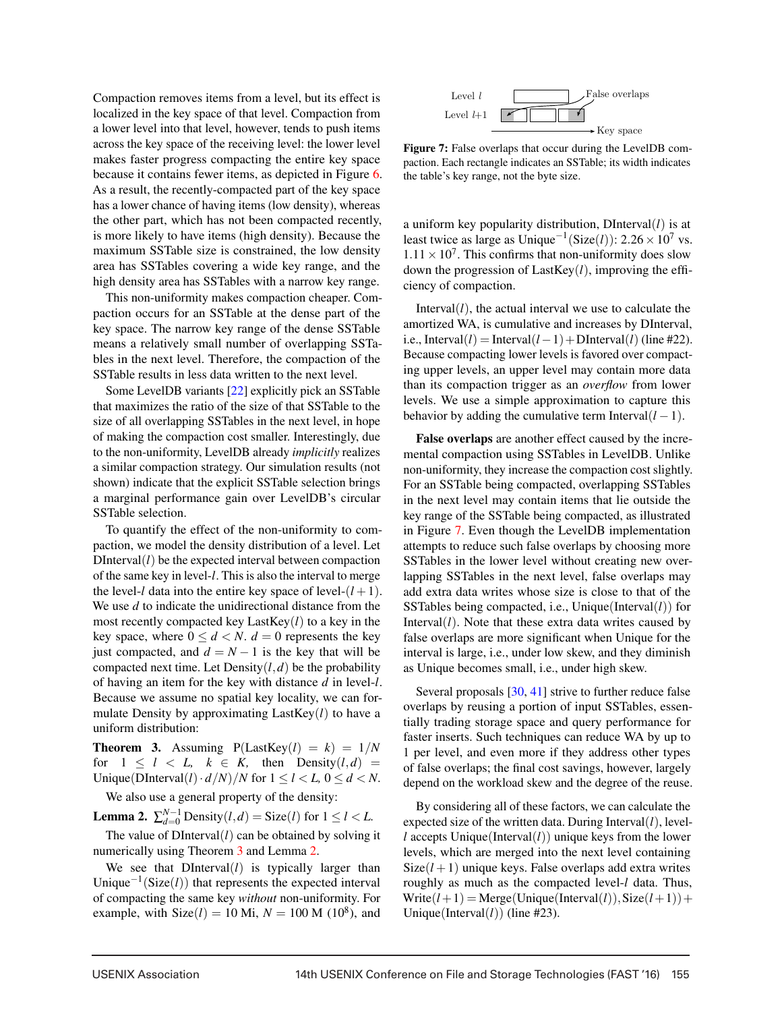Compaction removes items from a level, but its effect is localized in the key space of that level. Compaction from a lower level into that level, however, tends to push items across the key space of the receiving level: the lower level makes faster progress compacting the entire key space because it contains fewer items, as depicted in Figure 6. As a result, the recently-compacted part of the key space has a lower chance of having items (low density), whereas the other part, which has not been compacted recently, is more likely to have items (high density). Because the maximum SSTable size is constrained, the low density area has SSTables covering a wide key range, and the high density area has SSTables with a narrow key range.

This non-uniformity makes compaction cheaper. Compaction occurs for an SSTable at the dense part of the key space. The narrow key range of the dense SSTable means a relatively small number of overlapping SSTables in the next level. Therefore, the compaction of the SSTable results in less data written to the next level.

Some LevelDB variants [22] explicitly pick an SSTable that maximizes the ratio of the size of that SSTable to the size of all overlapping SSTables in the next level, in hope of making the compaction cost smaller. Interestingly, due to the non-uniformity, LevelDB already *implicitly* realizes a similar compaction strategy. Our simulation results (not shown) indicate that the explicit SSTable selection brings a marginal performance gain over LevelDB's circular SSTable selection.

To quantify the effect of the non-uniformity to compaction, we model the density distribution of a level. Let  $DInterval(l)$  be the expected interval between compaction of the same key in level-*l*. This is also the interval to merge the level-*l* data into the entire key space of level- $(l+1)$ . We use *d* to indicate the unidirectional distance from the most recently compacted key LastKey(*l*) to a key in the key space, where  $0 \le d \le N$ .  $d = 0$  represents the key just compacted, and  $d = N - 1$  is the key that will be compacted next time. Let  $Density(l, d)$  be the probability of having an item for the key with distance *d* in level-*l*. Because we assume no spatial key locality, we can formulate Density by approximating LastKey(*l*) to have a uniform distribution:

**Theorem 3.** Assuming  $P(LastKey(l) = k) = 1/N$ for  $1 \leq l \leq L$ ,  $k \in K$ , then Density $(l,d)$  = Unique(DInterval(*l*)· $d/N$ /*N* for  $1 \le l \le L$ ,  $0 \le d \le N$ .

We also use a general property of the density:

**Lemma 2.**  $\sum_{d=0}^{N-1}$  Density $(l,d)$  = Size $(l)$  for  $1 \le l \le L$ .

The value of  $DInterval(l)$  can be obtained by solving it numerically using Theorem 3 and Lemma 2.

We see that  $DInterval(l)$  is typically larger than Unique−1(Size(*l*)) that represents the expected interval of compacting the same key *without* non-uniformity. For example, with  $Size(l) = 10$  Mi,  $N = 100$  M (10<sup>8</sup>), and



Figure 7: False overlaps that occur during the LevelDB compaction. Each rectangle indicates an SSTable; its width indicates the table's key range, not the byte size.

a uniform key popularity distribution, DInterval(*l*) is at least twice as large as Unique<sup>-1</sup>(Size(*l*)): 2.26 × 10<sup>7</sup> vs.  $1.11 \times 10^7$ . This confirms that non-uniformity does slow down the progression of LastKey(*l*), improving the efficiency of compaction.

Interval $(l)$ , the actual interval we use to calculate the amortized WA, is cumulative and increases by DInterval, i.e., Interval(*l*) = Interval(*l* − 1) + DInterval(*l*) (line #22). Because compacting lower levels is favored over compacting upper levels, an upper level may contain more data than its compaction trigger as an *overflow* from lower levels. We use a simple approximation to capture this behavior by adding the cumulative term Interval $(l-1)$ .

False overlaps are another effect caused by the incremental compaction using SSTables in LevelDB. Unlike non-uniformity, they increase the compaction cost slightly. For an SSTable being compacted, overlapping SSTables in the next level may contain items that lie outside the key range of the SSTable being compacted, as illustrated in Figure 7. Even though the LevelDB implementation attempts to reduce such false overlaps by choosing more SSTables in the lower level without creating new overlapping SSTables in the next level, false overlaps may add extra data writes whose size is close to that of the SSTables being compacted, i.e., Unique(Interval(*l*)) for Interval $(l)$ . Note that these extra data writes caused by false overlaps are more significant when Unique for the interval is large, i.e., under low skew, and they diminish as Unique becomes small, i.e., under high skew.

Several proposals [30, 41] strive to further reduce false overlaps by reusing a portion of input SSTables, essentially trading storage space and query performance for faster inserts. Such techniques can reduce WA by up to 1 per level, and even more if they address other types of false overlaps; the final cost savings, however, largely depend on the workload skew and the degree of the reuse.

By considering all of these factors, we can calculate the expected size of the written data. During Interval(*l*), level $l$  accepts Unique(Interval $(l)$ ) unique keys from the lower levels, which are merged into the next level containing  $Size(l+1)$  unique keys. False overlaps add extra writes roughly as much as the compacted level-*l* data. Thus,  $Write(l+1) = Merge(Unique(Interval(l)), Size(l+1))+$ Unique(Interval $(l)$ ) (line #23).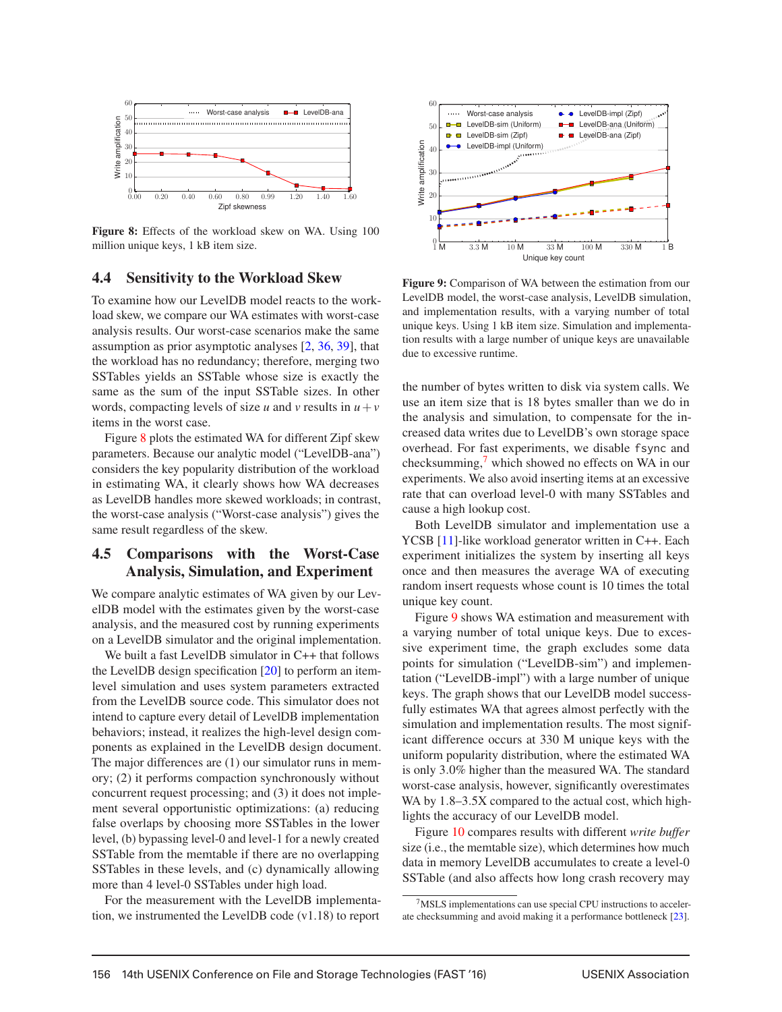

Figure 8: Effects of the workload skew on WA. Using 100 million unique keys, 1 kB item size.

#### 4.4 Sensitivity to the Workload Skew

To examine how our LevelDB model reacts to the workload skew, we compare our WA estimates with worst-case analysis results. Our worst-case scenarios make the same assumption as prior asymptotic analyses [2, 36, 39], that the workload has no redundancy; therefore, merging two SSTables yields an SSTable whose size is exactly the same as the sum of the input SSTable sizes. In other words, compacting levels of size *u* and *v* results in  $u + v$ items in the worst case.

Figure 8 plots the estimated WA for different Zipf skew parameters. Because our analytic model ("LevelDB-ana") considers the key popularity distribution of the workload in estimating WA, it clearly shows how WA decreases as LevelDB handles more skewed workloads; in contrast, the worst-case analysis ("Worst-case analysis") gives the same result regardless of the skew.

### 4.5 Comparisons with the Worst-Case Analysis, Simulation, and Experiment

We compare analytic estimates of WA given by our LevelDB model with the estimates given by the worst-case analysis, and the measured cost by running experiments on a LevelDB simulator and the original implementation.

We built a fast LevelDB simulator in C++ that follows the LevelDB design specification [20] to perform an itemlevel simulation and uses system parameters extracted from the LevelDB source code. This simulator does not intend to capture every detail of LevelDB implementation behaviors; instead, it realizes the high-level design components as explained in the LevelDB design document. The major differences are (1) our simulator runs in memory; (2) it performs compaction synchronously without concurrent request processing; and (3) it does not implement several opportunistic optimizations: (a) reducing false overlaps by choosing more SSTables in the lower level, (b) bypassing level-0 and level-1 for a newly created SSTable from the memtable if there are no overlapping SSTables in these levels, and (c) dynamically allowing more than 4 level-0 SSTables under high load.

For the measurement with the LevelDB implementation, we instrumented the LevelDB code (v1.18) to report



Figure 9: Comparison of WA between the estimation from our LevelDB model, the worst-case analysis, LevelDB simulation, and implementation results, with a varying number of total unique keys. Using 1 kB item size. Simulation and implementation results with a large number of unique keys are unavailable due to excessive runtime.

the number of bytes written to disk via system calls. We use an item size that is 18 bytes smaller than we do in the analysis and simulation, to compensate for the increased data writes due to LevelDB's own storage space overhead. For fast experiments, we disable fsync and checksumming,<sup>7</sup> which showed no effects on WA in our experiments. We also avoid inserting items at an excessive rate that can overload level-0 with many SSTables and cause a high lookup cost.

Both LevelDB simulator and implementation use a YCSB [11]-like workload generator written in C++. Each experiment initializes the system by inserting all keys once and then measures the average WA of executing random insert requests whose count is 10 times the total unique key count.

Figure 9 shows WA estimation and measurement with a varying number of total unique keys. Due to excessive experiment time, the graph excludes some data points for simulation ("LevelDB-sim") and implementation ("LevelDB-impl") with a large number of unique keys. The graph shows that our LevelDB model successfully estimates WA that agrees almost perfectly with the simulation and implementation results. The most significant difference occurs at 330 M unique keys with the uniform popularity distribution, where the estimated WA is only 3.0% higher than the measured WA. The standard worst-case analysis, however, significantly overestimates WA by  $1.8-3.5X$  compared to the actual cost, which highlights the accuracy of our LevelDB model.

Figure 10 compares results with different *write buffer* size (i.e., the memtable size), which determines how much data in memory LevelDB accumulates to create a level-0 SSTable (and also affects how long crash recovery may

<sup>7</sup>MSLS implementations can use special CPU instructions to accelerate checksumming and avoid making it a performance bottleneck [23].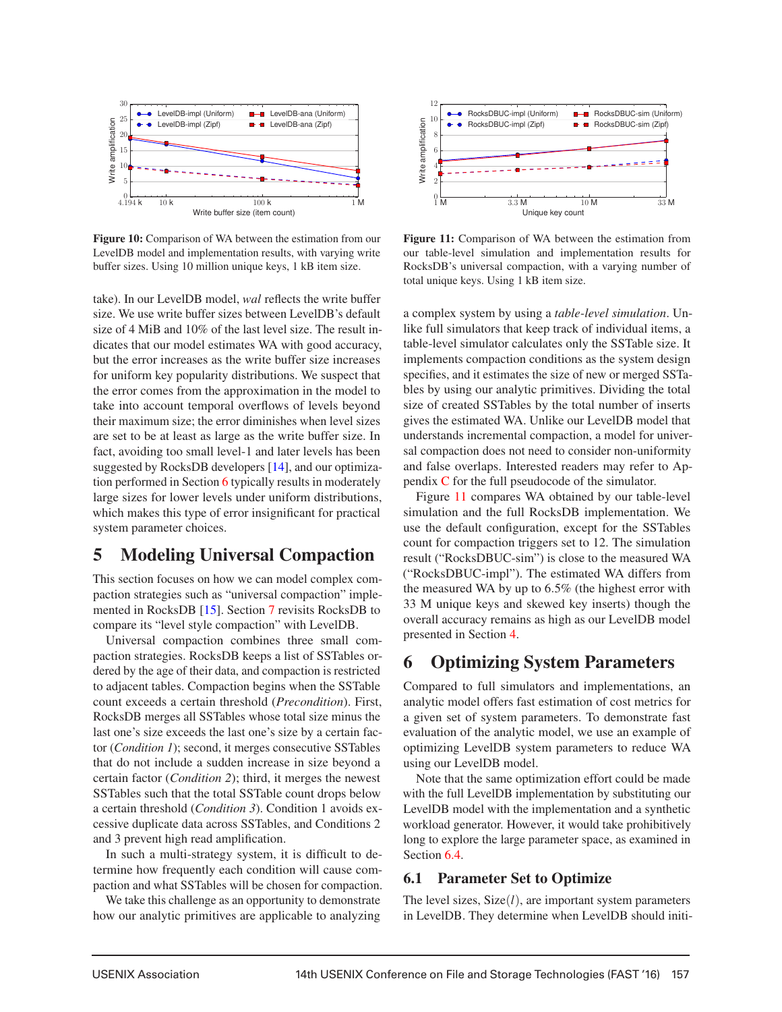

Figure 10: Comparison of WA between the estimation from our LevelDB model and implementation results, with varying write buffer sizes. Using 10 million unique keys, 1 kB item size.

take). In our LevelDB model, *wal* reflects the write buffer size. We use write buffer sizes between LevelDB's default size of 4 MiB and 10% of the last level size. The result indicates that our model estimates WA with good accuracy, but the error increases as the write buffer size increases for uniform key popularity distributions. We suspect that the error comes from the approximation in the model to take into account temporal overflows of levels beyond their maximum size; the error diminishes when level sizes are set to be at least as large as the write buffer size. In fact, avoiding too small level-1 and later levels has been suggested by RocksDB developers [14], and our optimization performed in Section 6 typically results in moderately large sizes for lower levels under uniform distributions, which makes this type of error insignificant for practical system parameter choices.

## 5 Modeling Universal Compaction

This section focuses on how we can model complex compaction strategies such as "universal compaction" implemented in RocksDB [15]. Section 7 revisits RocksDB to compare its "level style compaction" with LevelDB.

Universal compaction combines three small compaction strategies. RocksDB keeps a list of SSTables ordered by the age of their data, and compaction is restricted to adjacent tables. Compaction begins when the SSTable count exceeds a certain threshold (*Precondition*). First, RocksDB merges all SSTables whose total size minus the last one's size exceeds the last one's size by a certain factor (*Condition 1*); second, it merges consecutive SSTables that do not include a sudden increase in size beyond a certain factor (*Condition 2*); third, it merges the newest SSTables such that the total SSTable count drops below a certain threshold (*Condition 3*). Condition 1 avoids excessive duplicate data across SSTables, and Conditions 2 and 3 prevent high read amplification.

In such a multi-strategy system, it is difficult to determine how frequently each condition will cause compaction and what SSTables will be chosen for compaction.

We take this challenge as an opportunity to demonstrate how our analytic primitives are applicable to analyzing



Figure 11: Comparison of WA between the estimation from our table-level simulation and implementation results for RocksDB's universal compaction, with a varying number of total unique keys. Using 1 kB item size.

a complex system by using a *table-level simulation*. Unlike full simulators that keep track of individual items, a table-level simulator calculates only the SSTable size. It implements compaction conditions as the system design specifies, and it estimates the size of new or merged SSTables by using our analytic primitives. Dividing the total size of created SSTables by the total number of inserts gives the estimated WA. Unlike our LevelDB model that understands incremental compaction, a model for universal compaction does not need to consider non-uniformity and false overlaps. Interested readers may refer to Appendix C for the full pseudocode of the simulator.

Figure 11 compares WA obtained by our table-level simulation and the full RocksDB implementation. We use the default configuration, except for the SSTables count for compaction triggers set to 12. The simulation result ("RocksDBUC-sim") is close to the measured WA ("RocksDBUC-impl"). The estimated WA differs from the measured WA by up to 6.5% (the highest error with 33 M unique keys and skewed key inserts) though the overall accuracy remains as high as our LevelDB model presented in Section 4.

## 6 Optimizing System Parameters

Compared to full simulators and implementations, an analytic model offers fast estimation of cost metrics for a given set of system parameters. To demonstrate fast evaluation of the analytic model, we use an example of optimizing LevelDB system parameters to reduce WA using our LevelDB model.

Note that the same optimization effort could be made with the full LevelDB implementation by substituting our LevelDB model with the implementation and a synthetic workload generator. However, it would take prohibitively long to explore the large parameter space, as examined in Section 6.4.

### 6.1 Parameter Set to Optimize

The level sizes, Size(*l*), are important system parameters in LevelDB. They determine when LevelDB should initi-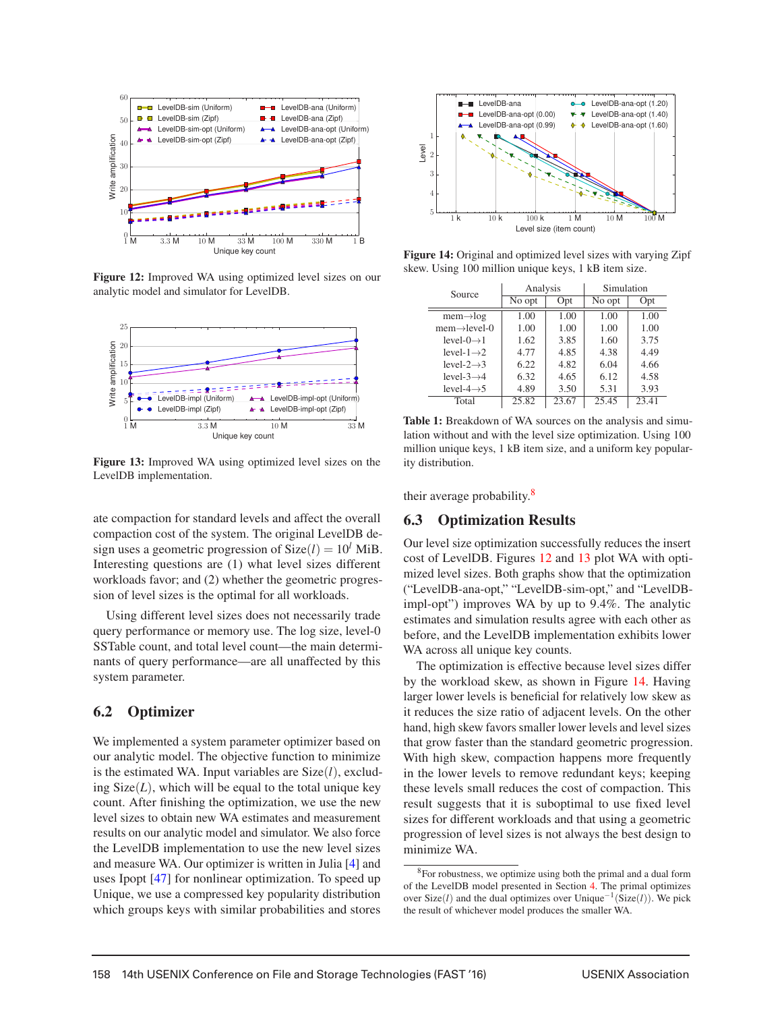

Figure 12: Improved WA using optimized level sizes on our analytic model and simulator for LevelDB.



Figure 13: Improved WA using optimized level sizes on the LevelDB implementation.

ate compaction for standard levels and affect the overall compaction cost of the system. The original LevelDB design uses a geometric progression of  $Size(l) = 10^l$  MiB. Interesting questions are (1) what level sizes different workloads favor; and (2) whether the geometric progression of level sizes is the optimal for all workloads.

Using different level sizes does not necessarily trade query performance or memory use. The log size, level-0 SSTable count, and total level count—the main determinants of query performance—are all unaffected by this system parameter.

#### 6.2 Optimizer

We implemented a system parameter optimizer based on our analytic model. The objective function to minimize is the estimated WA. Input variables are Size(*l*), excluding  $Size(L)$ , which will be equal to the total unique key count. After finishing the optimization, we use the new level sizes to obtain new WA estimates and measurement results on our analytic model and simulator. We also force the LevelDB implementation to use the new level sizes and measure WA. Our optimizer is written in Julia [4] and uses Ipopt [47] for nonlinear optimization. To speed up Unique, we use a compressed key popularity distribution which groups keys with similar probabilities and stores



Figure 14: Original and optimized level sizes with varying Zipf skew. Using 100 million unique keys, 1 kB item size.

| Source                    | Analysis |       | Simulation |       |
|---------------------------|----------|-------|------------|-------|
|                           | No opt   | Opt   | No opt     | Opt   |
| $mem \rightarrow log$     | 1.00     | 1.00  | 1.00       | 1.00  |
| $mem \rightarrow level-0$ | 1.00     | 1.00  | 1.00       | 1.00  |
| level- $0 \rightarrow 1$  | 1.62     | 3.85  | 1.60       | 3.75  |
| level- $1\rightarrow 2$   | 4.77     | 4.85  | 4.38       | 4.49  |
| level-2 $\rightarrow$ 3   | 6.22     | 4.82  | 6.04       | 4.66  |
| level- $3\rightarrow 4$   | 6.32     | 4.65  | 6.12       | 4.58  |
| level-4 $\rightarrow$ 5   | 4.89     | 3.50  | 5.31       | 3.93  |
| Total                     | 25.82    | 23.67 | 25.45      | 23.41 |

Table 1: Breakdown of WA sources on the analysis and simulation without and with the level size optimization. Using 100 million unique keys, 1 kB item size, and a uniform key popularity distribution.

their average probability.8

### 6.3 Optimization Results

Our level size optimization successfully reduces the insert cost of LevelDB. Figures 12 and 13 plot WA with optimized level sizes. Both graphs show that the optimization ("LevelDB-ana-opt," "LevelDB-sim-opt," and "LevelDBimpl-opt") improves WA by up to 9.4%. The analytic estimates and simulation results agree with each other as before, and the LevelDB implementation exhibits lower WA across all unique key counts.

The optimization is effective because level sizes differ by the workload skew, as shown in Figure 14. Having larger lower levels is beneficial for relatively low skew as it reduces the size ratio of adjacent levels. On the other hand, high skew favors smaller lower levels and level sizes that grow faster than the standard geometric progression. With high skew, compaction happens more frequently in the lower levels to remove redundant keys; keeping these levels small reduces the cost of compaction. This result suggests that it is suboptimal to use fixed level sizes for different workloads and that using a geometric progression of level sizes is not always the best design to minimize WA.

 ${}^{8}$ For robustness, we optimize using both the primal and a dual form of the LevelDB model presented in Section 4. The primal optimizes over Size(*l*) and the dual optimizes over Unique−1(Size(*l*)). We pick the result of whichever model produces the smaller WA.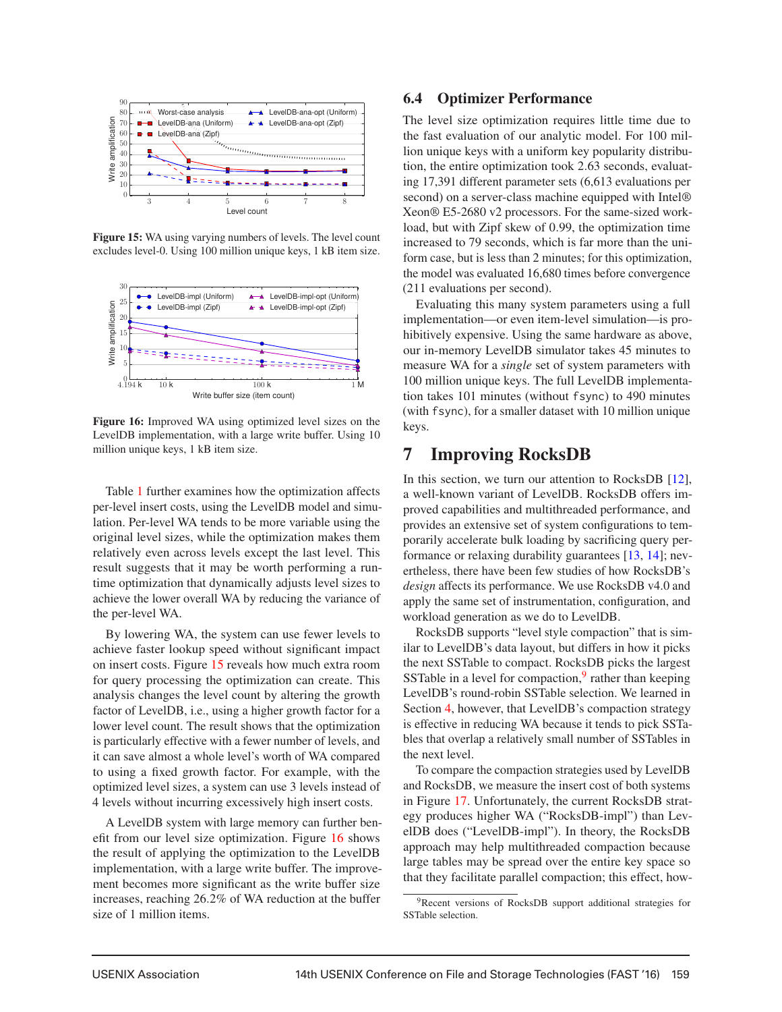

Figure 15: WA using varying numbers of levels. The level count excludes level-0. Using 100 million unique keys, 1 kB item size.



Figure 16: Improved WA using optimized level sizes on the LevelDB implementation, with a large write buffer. Using 10 million unique keys, 1 kB item size.

Table 1 further examines how the optimization affects per-level insert costs, using the LevelDB model and simulation. Per-level WA tends to be more variable using the original level sizes, while the optimization makes them relatively even across levels except the last level. This result suggests that it may be worth performing a runtime optimization that dynamically adjusts level sizes to achieve the lower overall WA by reducing the variance of the per-level WA.

By lowering WA, the system can use fewer levels to achieve faster lookup speed without significant impact on insert costs. Figure 15 reveals how much extra room for query processing the optimization can create. This analysis changes the level count by altering the growth factor of LevelDB, i.e., using a higher growth factor for a lower level count. The result shows that the optimization is particularly effective with a fewer number of levels, and it can save almost a whole level's worth of WA compared to using a fixed growth factor. For example, with the optimized level sizes, a system can use 3 levels instead of 4 levels without incurring excessively high insert costs.

A LevelDB system with large memory can further benefit from our level size optimization. Figure 16 shows the result of applying the optimization to the LevelDB implementation, with a large write buffer. The improvement becomes more significant as the write buffer size increases, reaching 26.2% of WA reduction at the buffer size of 1 million items.

### 6.4 Optimizer Performance

The level size optimization requires little time due to the fast evaluation of our analytic model. For 100 million unique keys with a uniform key popularity distribution, the entire optimization took 2.63 seconds, evaluating 17,391 different parameter sets (6,613 evaluations per second) on a server-class machine equipped with Intel® Xeon® E5-2680 v2 processors. For the same-sized workload, but with Zipf skew of 0.99, the optimization time increased to 79 seconds, which is far more than the uniform case, but is less than 2 minutes; for this optimization, the model was evaluated 16,680 times before convergence (211 evaluations per second).

Evaluating this many system parameters using a full implementation—or even item-level simulation—is prohibitively expensive. Using the same hardware as above, our in-memory LevelDB simulator takes 45 minutes to measure WA for a *single* set of system parameters with 100 million unique keys. The full LevelDB implementation takes 101 minutes (without fsync) to 490 minutes (with fsync), for a smaller dataset with 10 million unique keys.

### 7 Improving RocksDB

In this section, we turn our attention to RocksDB [12], a well-known variant of LevelDB. RocksDB offers improved capabilities and multithreaded performance, and provides an extensive set of system configurations to temporarily accelerate bulk loading by sacrificing query performance or relaxing durability guarantees [13, 14]; nevertheless, there have been few studies of how RocksDB's *design* affects its performance. We use RocksDB v4.0 and apply the same set of instrumentation, configuration, and workload generation as we do to LevelDB.

RocksDB supports "level style compaction" that is similar to LevelDB's data layout, but differs in how it picks the next SSTable to compact. RocksDB picks the largest SSTable in a level for compaction, $9$  rather than keeping LevelDB's round-robin SSTable selection. We learned in Section 4, however, that LevelDB's compaction strategy is effective in reducing WA because it tends to pick SSTables that overlap a relatively small number of SSTables in the next level.

To compare the compaction strategies used by LevelDB and RocksDB, we measure the insert cost of both systems in Figure 17. Unfortunately, the current RocksDB strategy produces higher WA ("RocksDB-impl") than LevelDB does ("LevelDB-impl"). In theory, the RocksDB approach may help multithreaded compaction because large tables may be spread over the entire key space so that they facilitate parallel compaction; this effect, how-

<sup>9</sup>Recent versions of RocksDB support additional strategies for SSTable selection.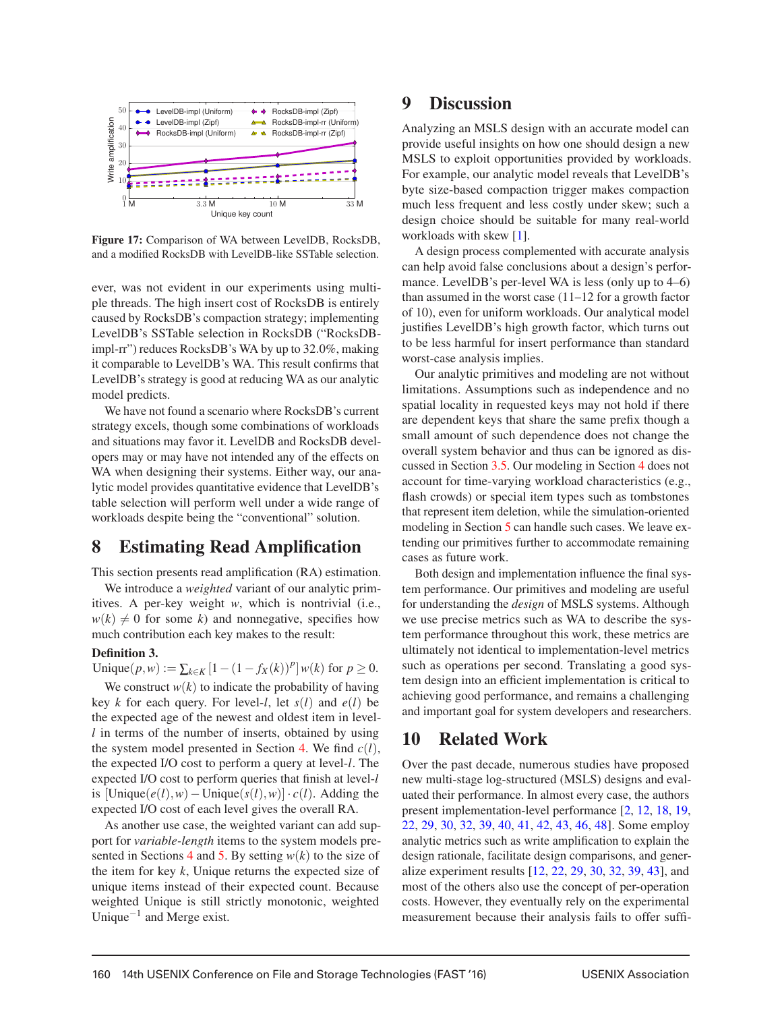

Figure 17: Comparison of WA between LevelDB, RocksDB, and a modified RocksDB with LevelDB-like SSTable selection.

ever, was not evident in our experiments using multiple threads. The high insert cost of RocksDB is entirely caused by RocksDB's compaction strategy; implementing LevelDB's SSTable selection in RocksDB ("RocksDBimpl-rr") reduces RocksDB's WA by up to 32.0%, making it comparable to LevelDB's WA. This result confirms that LevelDB's strategy is good at reducing WA as our analytic model predicts.

We have not found a scenario where RocksDB's current strategy excels, though some combinations of workloads and situations may favor it. LevelDB and RocksDB developers may or may have not intended any of the effects on WA when designing their systems. Either way, our analytic model provides quantitative evidence that LevelDB's table selection will perform well under a wide range of workloads despite being the "conventional" solution.

## 8 Estimating Read Amplification

This section presents read amplification (RA) estimation.

We introduce a *weighted* variant of our analytic primitives. A per-key weight *w*, which is nontrivial (i.e.,  $w(k) \neq 0$  for some *k*) and nonnegative, specifies how much contribution each key makes to the result:

#### Definition 3.

Unique(*p*,*w*) :=  $\sum_{k \in K} [1 - (1 - f_X(k))^p] w(k)$  for  $p \ge 0$ .

We construct  $w(k)$  to indicate the probability of having key *k* for each query. For level-*l*, let  $s(l)$  and  $e(l)$  be the expected age of the newest and oldest item in level*l* in terms of the number of inserts, obtained by using the system model presented in Section 4. We find *c*(*l*), the expected I/O cost to perform a query at level-*l*. The expected I/O cost to perform queries that finish at level-*l* is [Unique(*e*(*l*),*w*)−Unique(*s*(*l*),*w*)] · *c*(*l*). Adding the expected I/O cost of each level gives the overall RA.

As another use case, the weighted variant can add support for *variable-length* items to the system models presented in Sections 4 and 5. By setting  $w(k)$  to the size of the item for key *k*, Unique returns the expected size of unique items instead of their expected count. Because weighted Unique is still strictly monotonic, weighted Unique<sup> $-1$ </sup> and Merge exist.

## 9 Discussion

Analyzing an MSLS design with an accurate model can provide useful insights on how one should design a new MSLS to exploit opportunities provided by workloads. For example, our analytic model reveals that LevelDB's byte size-based compaction trigger makes compaction much less frequent and less costly under skew; such a design choice should be suitable for many real-world workloads with skew [1].

A design process complemented with accurate analysis can help avoid false conclusions about a design's performance. LevelDB's per-level WA is less (only up to 4–6) than assumed in the worst case (11–12 for a growth factor of 10), even for uniform workloads. Our analytical model justifies LevelDB's high growth factor, which turns out to be less harmful for insert performance than standard worst-case analysis implies.

Our analytic primitives and modeling are not without limitations. Assumptions such as independence and no spatial locality in requested keys may not hold if there are dependent keys that share the same prefix though a small amount of such dependence does not change the overall system behavior and thus can be ignored as discussed in Section 3.5. Our modeling in Section 4 does not account for time-varying workload characteristics (e.g., flash crowds) or special item types such as tombstones that represent item deletion, while the simulation-oriented modeling in Section 5 can handle such cases. We leave extending our primitives further to accommodate remaining cases as future work.

Both design and implementation influence the final system performance. Our primitives and modeling are useful for understanding the *design* of MSLS systems. Although we use precise metrics such as WA to describe the system performance throughout this work, these metrics are ultimately not identical to implementation-level metrics such as operations per second. Translating a good system design into an efficient implementation is critical to achieving good performance, and remains a challenging and important goal for system developers and researchers.

## 10 Related Work

Over the past decade, numerous studies have proposed new multi-stage log-structured (MSLS) designs and evaluated their performance. In almost every case, the authors present implementation-level performance [2, 12, 18, 19, 22, 29, 30, 32, 39, 40, 41, 42, 43, 46, 48]. Some employ analytic metrics such as write amplification to explain the design rationale, facilitate design comparisons, and generalize experiment results [12, 22, 29, 30, 32, 39, 43], and most of the others also use the concept of per-operation costs. However, they eventually rely on the experimental measurement because their analysis fails to offer suffi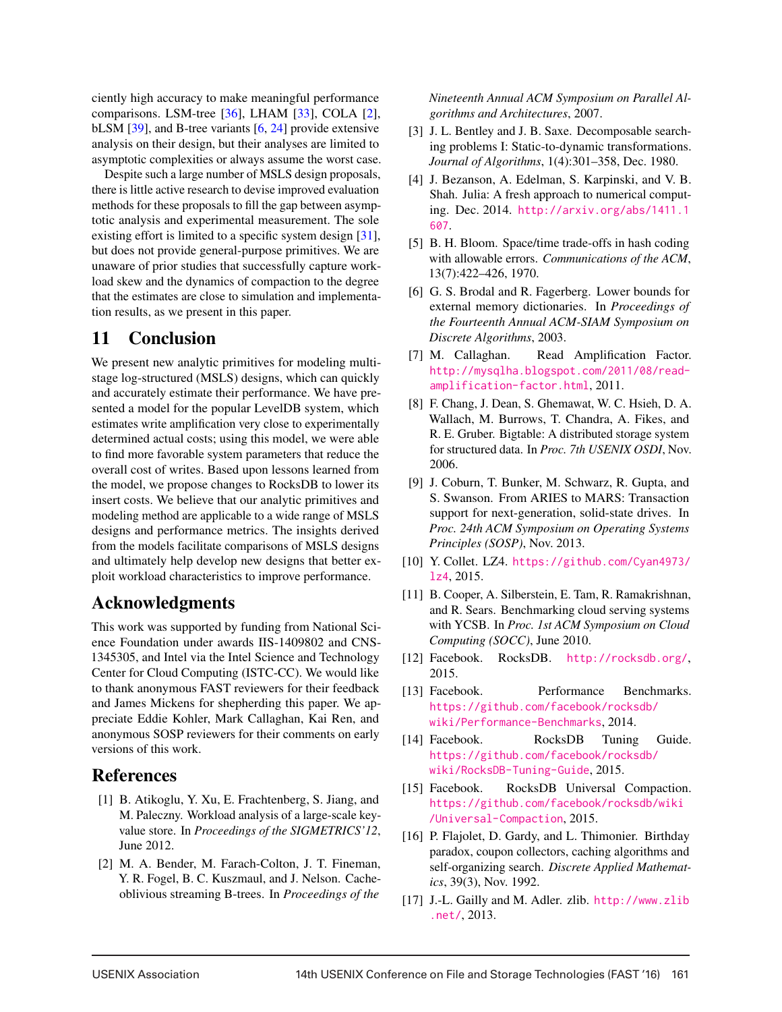ciently high accuracy to make meaningful performance comparisons. LSM-tree [36], LHAM [33], COLA [2], bLSM [39], and B-tree variants [6, 24] provide extensive analysis on their design, but their analyses are limited to asymptotic complexities or always assume the worst case.

Despite such a large number of MSLS design proposals, there is little active research to devise improved evaluation methods for these proposals to fill the gap between asymptotic analysis and experimental measurement. The sole existing effort is limited to a specific system design [31], but does not provide general-purpose primitives. We are unaware of prior studies that successfully capture workload skew and the dynamics of compaction to the degree that the estimates are close to simulation and implementation results, as we present in this paper.

## 11 Conclusion

We present new analytic primitives for modeling multistage log-structured (MSLS) designs, which can quickly and accurately estimate their performance. We have presented a model for the popular LevelDB system, which estimates write amplification very close to experimentally determined actual costs; using this model, we were able to find more favorable system parameters that reduce the overall cost of writes. Based upon lessons learned from the model, we propose changes to RocksDB to lower its insert costs. We believe that our analytic primitives and modeling method are applicable to a wide range of MSLS designs and performance metrics. The insights derived from the models facilitate comparisons of MSLS designs and ultimately help develop new designs that better exploit workload characteristics to improve performance.

# Acknowledgments

This work was supported by funding from National Science Foundation under awards IIS-1409802 and CNS-1345305, and Intel via the Intel Science and Technology Center for Cloud Computing (ISTC-CC). We would like to thank anonymous FAST reviewers for their feedback and James Mickens for shepherding this paper. We appreciate Eddie Kohler, Mark Callaghan, Kai Ren, and anonymous SOSP reviewers for their comments on early versions of this work.

## References

- [1] B. Atikoglu, Y. Xu, E. Frachtenberg, S. Jiang, and M. Paleczny. Workload analysis of a large-scale keyvalue store. In *Proceedings of the SIGMETRICS'12*, June 2012.
- [2] M. A. Bender, M. Farach-Colton, J. T. Fineman, Y. R. Fogel, B. C. Kuszmaul, and J. Nelson. Cacheoblivious streaming B-trees. In *Proceedings of the*

*Nineteenth Annual ACM Symposium on Parallel Algorithms and Architectures*, 2007.

- [3] J. L. Bentley and J. B. Saxe. Decomposable searching problems I: Static-to-dynamic transformations. *Journal of Algorithms*, 1(4):301–358, Dec. 1980.
- [4] J. Bezanson, A. Edelman, S. Karpinski, and V. B. Shah. Julia: A fresh approach to numerical computing. Dec. 2014. http://arxiv.org/abs/1411.1 607.
- [5] B. H. Bloom. Space/time trade-offs in hash coding with allowable errors. *Communications of the ACM*, 13(7):422–426, 1970.
- [6] G. S. Brodal and R. Fagerberg. Lower bounds for external memory dictionaries. In *Proceedings of the Fourteenth Annual ACM-SIAM Symposium on Discrete Algorithms*, 2003.
- [7] M. Callaghan. Read Amplification Factor. http://mysqlha.blogspot.com/2011/08/readamplification-factor.html, 2011.
- [8] F. Chang, J. Dean, S. Ghemawat, W. C. Hsieh, D. A. Wallach, M. Burrows, T. Chandra, A. Fikes, and R. E. Gruber. Bigtable: A distributed storage system for structured data. In *Proc. 7th USENIX OSDI*, Nov. 2006.
- [9] J. Coburn, T. Bunker, M. Schwarz, R. Gupta, and S. Swanson. From ARIES to MARS: Transaction support for next-generation, solid-state drives. In *Proc. 24th ACM Symposium on Operating Systems Principles (SOSP)*, Nov. 2013.
- [10] Y. Collet. LZ4. https://github.com/Cyan4973/ lz4, 2015.
- [11] B. Cooper, A. Silberstein, E. Tam, R. Ramakrishnan, and R. Sears. Benchmarking cloud serving systems with YCSB. In *Proc. 1st ACM Symposium on Cloud Computing (SOCC)*, June 2010.
- [12] Facebook. RocksDB. http://rocksdb.org/, 2015.
- [13] Facebook. Performance Benchmarks. https://github.com/facebook/rocksdb/ wiki/Performance-Benchmarks, 2014.
- [14] Facebook. RocksDB Tuning Guide. https://github.com/facebook/rocksdb/ wiki/RocksDB-Tuning-Guide, 2015.
- [15] Facebook. RocksDB Universal Compaction. https://github.com/facebook/rocksdb/wiki /Universal-Compaction, 2015.
- [16] P. Flajolet, D. Gardy, and L. Thimonier. Birthday paradox, coupon collectors, caching algorithms and self-organizing search. *Discrete Applied Mathematics*, 39(3), Nov. 1992.
- [17] J.-L. Gailly and M. Adler. zlib. http://www.zlib .net/, 2013.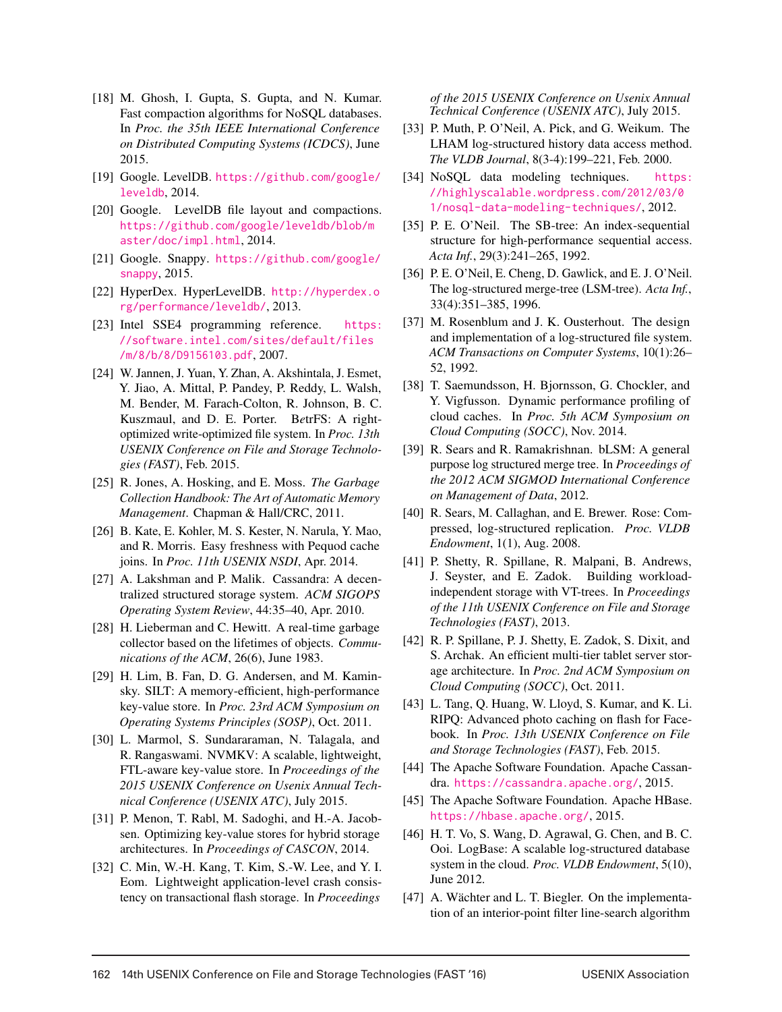- [18] M. Ghosh, I. Gupta, S. Gupta, and N. Kumar. Fast compaction algorithms for NoSQL databases. In *Proc. the 35th IEEE International Conference on Distributed Computing Systems (ICDCS)*, June 2015.
- [19] Google. LevelDB. https://github.com/google/ leveldb, 2014.
- [20] Google. LevelDB file layout and compactions. https://github.com/google/leveldb/blob/m aster/doc/impl.html, 2014.
- [21] Google. Snappy. https://github.com/google/ snappy, 2015.
- [22] HyperDex. HyperLevelDB. http://hyperdex.o rg/performance/leveldb/, 2013.
- [23] Intel SSE4 programming reference. https: //software.intel.com/sites/default/files /m/8/b/8/D9156103.pdf, 2007.
- [24] W. Jannen, J. Yuan, Y. Zhan, A. Akshintala, J. Esmet, Y. Jiao, A. Mittal, P. Pandey, P. Reddy, L. Walsh, M. Bender, M. Farach-Colton, R. Johnson, B. C. Kuszmaul, and D. E. Porter. B*e*trFS: A rightoptimized write-optimized file system. In *Proc. 13th USENIX Conference on File and Storage Technologies (FAST)*, Feb. 2015.
- [25] R. Jones, A. Hosking, and E. Moss. *The Garbage Collection Handbook: The Art of Automatic Memory Management*. Chapman & Hall/CRC, 2011.
- [26] B. Kate, E. Kohler, M. S. Kester, N. Narula, Y. Mao, and R. Morris. Easy freshness with Pequod cache joins. In *Proc. 11th USENIX NSDI*, Apr. 2014.
- [27] A. Lakshman and P. Malik. Cassandra: A decentralized structured storage system. *ACM SIGOPS Operating System Review*, 44:35–40, Apr. 2010.
- [28] H. Lieberman and C. Hewitt. A real-time garbage collector based on the lifetimes of objects. *Communications of the ACM*, 26(6), June 1983.
- [29] H. Lim, B. Fan, D. G. Andersen, and M. Kaminsky. SILT: A memory-efficient, high-performance key-value store. In *Proc. 23rd ACM Symposium on Operating Systems Principles (SOSP)*, Oct. 2011.
- [30] L. Marmol, S. Sundararaman, N. Talagala, and R. Rangaswami. NVMKV: A scalable, lightweight, FTL-aware key-value store. In *Proceedings of the 2015 USENIX Conference on Usenix Annual Technical Conference (USENIX ATC)*, July 2015.
- [31] P. Menon, T. Rabl, M. Sadoghi, and H.-A. Jacobsen. Optimizing key-value stores for hybrid storage architectures. In *Proceedings of CASCON*, 2014.
- [32] C. Min, W.-H. Kang, T. Kim, S.-W. Lee, and Y. I. Eom. Lightweight application-level crash consistency on transactional flash storage. In *Proceedings*

*of the 2015 USENIX Conference on Usenix Annual Technical Conference (USENIX ATC)*, July 2015.

- [33] P. Muth, P. O'Neil, A. Pick, and G. Weikum. The LHAM log-structured history data access method. *The VLDB Journal*, 8(3-4):199–221, Feb. 2000.
- [34] NoSQL data modeling techniques. https: //highlyscalable.wordpress.com/2012/03/0 1/nosql-data-modeling-techniques/, 2012.
- [35] P. E. O'Neil. The SB-tree: An index-sequential structure for high-performance sequential access. *Acta Inf.*, 29(3):241–265, 1992.
- [36] P. E. O'Neil, E. Cheng, D. Gawlick, and E. J. O'Neil. The log-structured merge-tree (LSM-tree). *Acta Inf.*, 33(4):351–385, 1996.
- [37] M. Rosenblum and J. K. Ousterhout. The design and implementation of a log-structured file system. *ACM Transactions on Computer Systems*, 10(1):26– 52, 1992.
- [38] T. Saemundsson, H. Bjornsson, G. Chockler, and Y. Vigfusson. Dynamic performance profiling of cloud caches. In *Proc. 5th ACM Symposium on Cloud Computing (SOCC)*, Nov. 2014.
- [39] R. Sears and R. Ramakrishnan. bLSM: A general purpose log structured merge tree. In *Proceedings of the 2012 ACM SIGMOD International Conference on Management of Data*, 2012.
- [40] R. Sears, M. Callaghan, and E. Brewer. Rose: Compressed, log-structured replication. *Proc. VLDB Endowment*, 1(1), Aug. 2008.
- [41] P. Shetty, R. Spillane, R. Malpani, B. Andrews, J. Seyster, and E. Zadok. Building workloadindependent storage with VT-trees. In *Proceedings of the 11th USENIX Conference on File and Storage Technologies (FAST)*, 2013.
- [42] R. P. Spillane, P. J. Shetty, E. Zadok, S. Dixit, and S. Archak. An efficient multi-tier tablet server storage architecture. In *Proc. 2nd ACM Symposium on Cloud Computing (SOCC)*, Oct. 2011.
- [43] L. Tang, Q. Huang, W. Lloyd, S. Kumar, and K. Li. RIPQ: Advanced photo caching on flash for Facebook. In *Proc. 13th USENIX Conference on File and Storage Technologies (FAST)*, Feb. 2015.
- [44] The Apache Software Foundation. Apache Cassandra. https://cassandra.apache.org/, 2015.
- [45] The Apache Software Foundation. Apache HBase. https://hbase.apache.org/, 2015.
- [46] H. T. Vo, S. Wang, D. Agrawal, G. Chen, and B. C. Ooi. LogBase: A scalable log-structured database system in the cloud. *Proc. VLDB Endowment*, 5(10), June 2012.
- [47] A. Wächter and L. T. Biegler. On the implementation of an interior-point filter line-search algorithm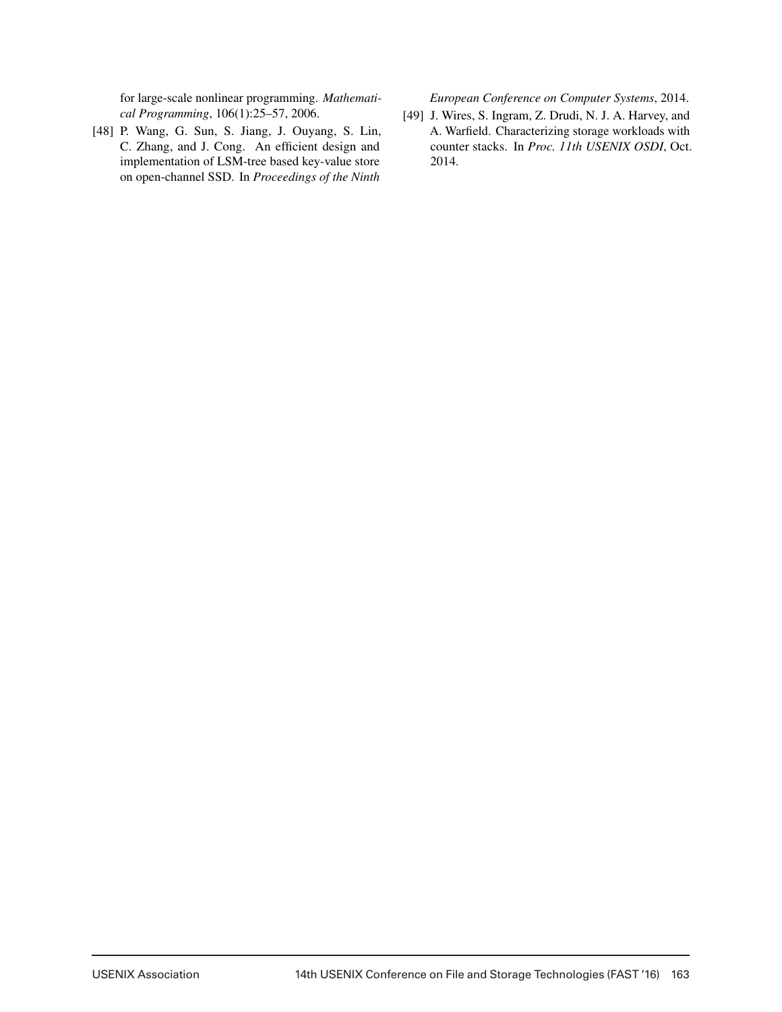for large-scale nonlinear programming. *Mathematical Programming*, 106(1):25–57, 2006.

[48] P. Wang, G. Sun, S. Jiang, J. Ouyang, S. Lin, C. Zhang, and J. Cong. An efficient design and implementation of LSM-tree based key-value store on open-channel SSD. In *Proceedings of the Ninth*

*European Conference on Computer Systems*, 2014.

[49] J. Wires, S. Ingram, Z. Drudi, N. J. A. Harvey, and A. Warfield. Characterizing storage workloads with counter stacks. In *Proc. 11th USENIX OSDI*, Oct. 2014.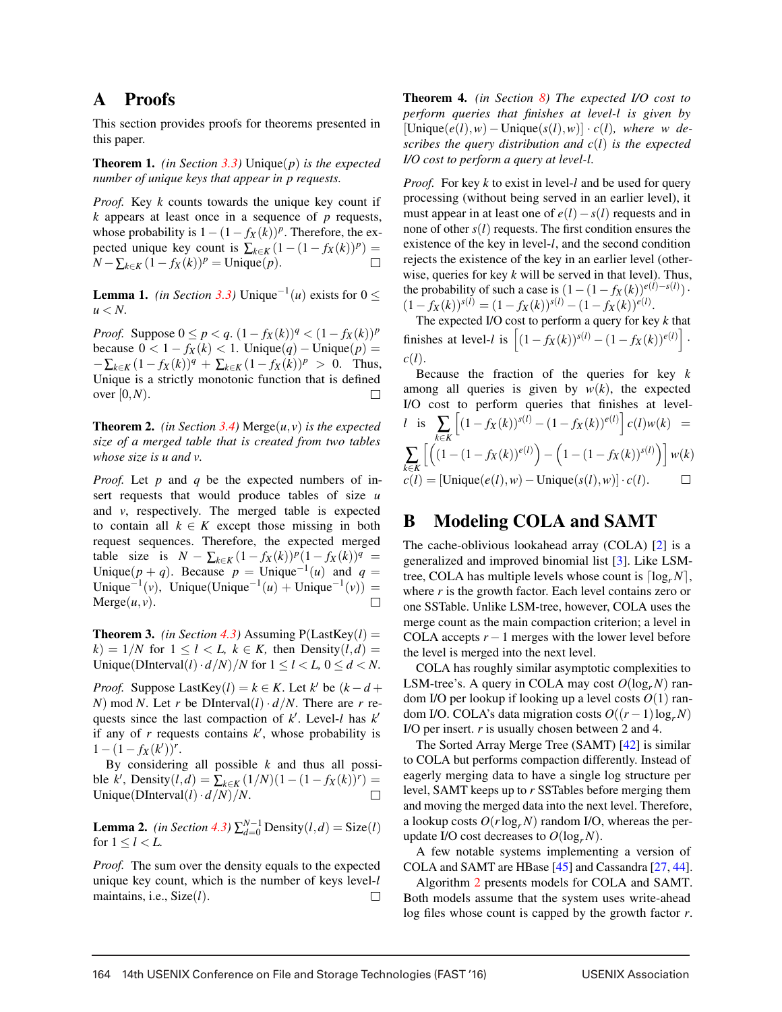## A Proofs

This section provides proofs for theorems presented in this paper.

Theorem 1. *(in Section 3.3)* Unique(*p*) *is the expected number of unique keys that appear in p requests.*

*Proof.* Key *k* counts towards the unique key count if *k* appears at least once in a sequence of *p* requests, whose probability is  $1 - (1 - f_X(k))^p$ . Therefore, the expected unique key count is  $\sum_{k \in K} (1 - (1 - f_X(k))^p) =$ *N* −  $\sum_{k \in K} (1 - f_X(k))^p$  = Unique(*p*).

**Lemma 1.** *(in Section 3.3)* Unique<sup> $-1$ </sup>(*u*) exists for 0 ≤  $u < N$ .

*Proof.* Suppose  $0 \le p < q$ .  $(1 - f_X(k))^q < (1 - f_X(k))^p$ because  $0 < 1 - f_X(k) < 1$ . Unique $(q)$  – Unique $(p)$  =  $-\sum_{k\in K} (1-f_X(k))^q + \sum_{k\in K} (1-f_X(k))^p > 0$ . Thus, Unique is a strictly monotonic function that is defined over [0,*N*).

**Theorem 2.** *(in Section 3.4)* Merge $(u, v)$  *is the expected size of a merged table that is created from two tables whose size is u and v.*

*Proof.* Let *p* and *q* be the expected numbers of insert requests that would produce tables of size *u* and *v*, respectively. The merged table is expected to contain all  $k \in K$  except those missing in both request sequences. Therefore, the expected merged table size is  $N - \sum_{k \in K} (1 - f_X(k))^p (1 - f_X(k))^q =$ Unique( $p + q$ ). Because  $p =$  Unique<sup>-1</sup>(*u*) and  $q =$ Unique<sup> $-1$ </sup>(*v*), Unique(Unique<sup> $-1$ </sup>(*u*) + Unique<sup> $-1$ </sup>(*v*)) =  $Merge(u, v)$ .  $\Box$ 

**Theorem 3.** *(in Section 4.3)* Assuming  $P(LastKey(l)) =$  $k$ ) = 1/*N* for 1 < *l* < *L*,  $k \in K$ , then Density(*l*,*d*) = Unique(DInterval(*l*)  $\cdot d/N$  /*N* for  $1 \le l \le L$ ,  $0 \le d \le N$ .

*Proof.* Suppose LastKey(*l*) =  $k \in K$ . Let  $k'$  be  $(k - d +$ *N*) mod *N*. Let *r* be DInterval(*l*)  $\cdot d/N$ . There are *r* requests since the last compaction of *k* . Level-*l* has *k* if any of *r* requests contains *k* , whose probability is  $1-(1-f_X(k'))^r$ .

By considering all possible *k* and thus all possible *k*<sup>*k*</sup>, Density(*l*,*d*) =  $\sum_{k \in K} (1/N)(1-(1-f_X(k))^r) =$ Unique(DInterval( $l$ ) ·  $d/N$ )/*N*.

**Lemma 2.** *(in Section 4.3)*  $\sum_{d=0}^{N-1}$  Density $(l, d)$  = Size $(l)$ for  $1 \le l \le L$ .

*Proof.* The sum over the density equals to the expected unique key count, which is the number of keys level-*l* maintains, i.e., Size(*l*).  $\Box$ 

Theorem 4. *(in Section 8) The expected I/O cost to perform queries that finishes at level-l is given by* [Unique(*e*(*l*),*w*)−Unique(*s*(*l*),*w*)] · *c*(*l*)*, where w describes the query distribution and c*(*l*) *is the expected I/O cost to perform a query at level-l.*

*Proof.* For key *k* to exist in level-*l* and be used for query processing (without being served in an earlier level), it must appear in at least one of  $e(l) - s(l)$  requests and in none of other *s*(*l*) requests. The first condition ensures the existence of the key in level-*l*, and the second condition rejects the existence of the key in an earlier level (otherwise, queries for key *k* will be served in that level). Thus, the probability of such a case is  $(1 - (1 - f_X(k))e^{(l) - s(l)})$ .  $(1 - f_X(k))^{s(l)} = (1 - f_X(k))^{s(l)} - (1 - f_X(k))^{e(l)}.$ 

The expected I/O cost to perform a query for key *k* that finishes at level-*l* is  $\left[ (1 - f_X(k))^{s(l)} - (1 - f_X(k))^{e(l)} \right]$ · *c*(*l*).

Because the fraction of the queries for key *k* among all queries is given by  $w(k)$ , the expected I/O cost to perform queries that finishes at level- $\left[ (1 - f_X(k))^{s(l)} - (1 - f_X(k))^{e(l)} \right] c(l) w(k) =$ *<sup>l</sup>* is ∑ *k*∈*K*  $\left[ \left( (1-(1-f_X(k))^{e(l)}) \right)$  $(1-(1-f_X(k))^{s(l)})$  *w*(*k*) ∑ − *k*∈*K*  $c(l) =$ [Unique( $e(l), w$ ) – Unique( $s(l), w$ )] ·  $c(l)$ .  $\Box$ 

## B Modeling COLA and SAMT

The cache-oblivious lookahead array (COLA) [2] is a generalized and improved binomial list [3]. Like LSMtree, COLA has multiple levels whose count is  $\lceil \log_r N \rceil$ , where  $r$  is the growth factor. Each level contains zero or one SSTable. Unlike LSM-tree, however, COLA uses the merge count as the main compaction criterion; a level in COLA accepts  $r - 1$  merges with the lower level before the level is merged into the next level.

COLA has roughly similar asymptotic complexities to LSM-tree's. A query in COLA may cost  $O(log<sub>r</sub> N)$  random I/O per lookup if looking up a level costs *O*(1) random I/O. COLA's data migration costs  $O((r-1)\log_r N)$ I/O per insert. *r* is usually chosen between 2 and 4.

The Sorted Array Merge Tree (SAMT) [42] is similar to COLA but performs compaction differently. Instead of eagerly merging data to have a single log structure per level, SAMT keeps up to *r* SSTables before merging them and moving the merged data into the next level. Therefore, a lookup costs  $O(r \log_r N)$  random I/O, whereas the perupdate I/O cost decreases to  $O(log_r N)$ .

A few notable systems implementing a version of COLA and SAMT are HBase [45] and Cassandra [27, 44].

Algorithm 2 presents models for COLA and SAMT. Both models assume that the system uses write-ahead log files whose count is capped by the growth factor *r*.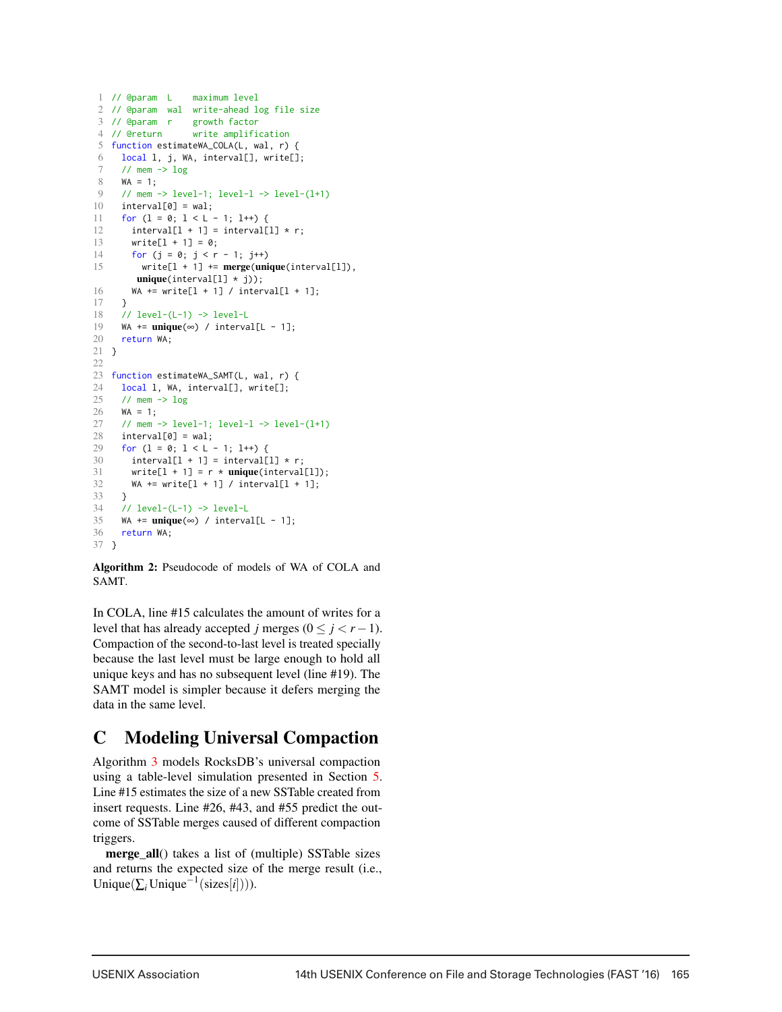```
1 // @param L maximum level
2 // @param wal write-ahead log file size
3 // @param r growth factor
4 // @return write amplification
5 function estimateWA_COLA(L, wal, r) {
6 local l, j, WA, interval[], write[];
7 // mem \rightarrow log<br>8 WA = 1;
     WA = 1;
9 // mem -> level-1; level-l -> level-(l+1)
10 interval[0] = wal;
11 for (l = 0; l < L - 1; l++) {
12 interval[1 + 1] = interval[1] \star r;
13 write[1 + 1] = 0;14 for (j = 0; j < r - 1; j++)15 write[l + 1] += merge(unique(interval[l]),
         unique(interval[1] * j));16 WA += write[1 + 1] / interval[1 + 1];
17 }
18 // level-(L-1) -> level-L
19 WA += unique(\infty) / interval[L - 1];
20 return WA;
21 }
22
23 function estimateWA_SAMT(L, wal, r) {
24 local l, WA, interval[], write[];
25 // mem -> log
26 WA = 1;
27 // mem -> level-1; level-1 -> level-(1+1)<br>28 interval[0] = wal:
    interval[0] = wal;29 for (l = 0; l < L - 1; l++) {
30 interval[1 + 1] = interval[1] * r;<br>31 write[1 + 1] = r * unique(interval
31 write[1 + 1] = r \times unique(interval[1]);<br>32 WA += write[1 + 1] / interval[1 + 1]
       WA += write[1 + 1] / interval[1 + 1];33 }
34 // level-(L-1) -> level-L
35 WA += unique(\infty) / interval[L - 1];
36 return WA;
37 }
```
Algorithm 2: Pseudocode of models of WA of COLA and SAMT.

In COLA, line #15 calculates the amount of writes for a level that has already accepted *j* merges ( $0 \le j < r - 1$ ). Compaction of the second-to-last level is treated specially because the last level must be large enough to hold all unique keys and has no subsequent level (line #19). The SAMT model is simpler because it defers merging the data in the same level.

# C Modeling Universal Compaction

Algorithm 3 models RocksDB's universal compaction using a table-level simulation presented in Section 5. Line #15 estimates the size of a new SSTable created from insert requests. Line #26, #43, and #55 predict the outcome of SSTable merges caused of different compaction triggers.

merge all() takes a list of (multiple) SSTable sizes and returns the expected size of the merge result (i.e., Unique( $\sum_i$ Unique<sup>-1</sup>(sizes[*i*]))).